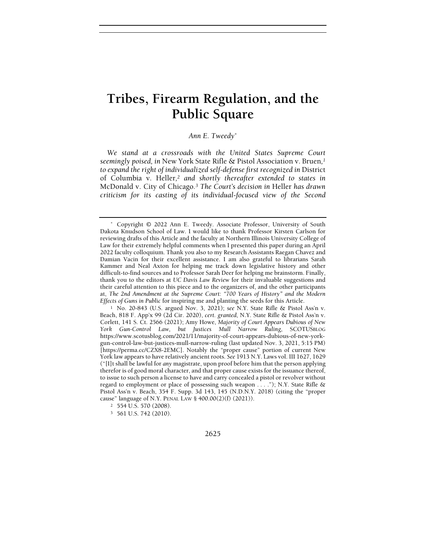# Tribes, Firearm Regulation, and the Public Square

## Ann E. Tweedy\*

We stand at a crossroads with the United States Supreme Court seemingly poised, in New York State Rifle & Pistol Association v. Bruen,<sup>1</sup> to expand the right of individualized self-defense first recognized in District of Columbia v. Heller,<sup>2</sup> and shortly thereafter extended to states in McDonald v. City of Chicago.<sup>3</sup> The Court's decision in Heller has drawn criticism for its casting of its individual-focused view of the Second

 <sup>\*</sup> Copyright © 2022 Ann E. Tweedy. Associate Professor, University of South Dakota Knudson School of Law. I would like to thank Professor Kirsten Carlson for reviewing drafts of this Article and the faculty at Northern Illinois University College of Law for their extremely helpful comments when I presented this paper during an April 2022 faculty colloquium. Thank you also to my Research Assistants Raegan Chavez and Damian Vacin for their excellent assistance. I am also grateful to librarians Sarah Kammer and Neal Axton for helping me track down legislative history and other difficult-to-find sources and to Professor Sarah Deer for helping me brainstorm. Finally, thank you to the editors at UC Davis Law Review for their invaluable suggestions and their careful attention to this piece and to the organizers of, and the other participants at, The 2nd Amendment at the Supreme Court: "700 Years of History" and the Modern Effects of Guns in Public for inspiring me and planting the seeds for this Article.

<sup>&</sup>lt;sup>1</sup> No. 20-843 (U.S. argued Nov. 3, 2021); see N.Y. State Rifle & Pistol Ass'n v. Beach, 818 F. App'x 99 (2d Cir. 2020), cert. granted, N.Y. State Rifle & Pistol Ass'n v. Corlett, 141 S. Ct. 2566 (2021); Amy Howe, Majority of Court Appears Dubious of New York Gun-Control Law, but Justices Mull Narrow Ruling, SCOTUSBLOG https://www.scotusblog.com/2021/11/majority-of-court-appears-dubious-of-new-yorkgun-control-law-but-justices-mull-narrow-ruling (last updated Nov. 3, 2021, 5:15 PM) [https://perma.cc/CZX8-2EMC]. Notably the "proper cause" portion of current New York law appears to have relatively ancient roots. See 1913 N.Y. Laws vol. III 1627, 1629 ("[I]t shall be lawful for any magistrate, upon proof before him that the person applying therefor is of good moral character, and that proper cause exists for the issuance thereof, to issue to such person a license to have and carry concealed a pistol or revolver without regard to employment or place of possessing such weapon . . . ."); N.Y. State Rifle & Pistol Ass'n v. Beach, 354 F. Supp. 3d 143, 145 (N.D.N.Y. 2018) (citing the "proper cause" language of N.Y. PENAL LAW § 400.00(2)(f) (2021)).

<sup>2</sup> 554 U.S. 570 (2008).

<sup>3</sup> 561 U.S. 742 (2010).

<sup>2625</sup>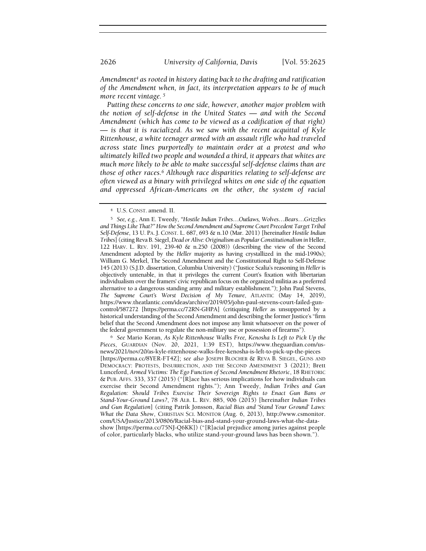Amendment<sup>4</sup> as rooted in history dating back to the drafting and ratification of the Amendment when, in fact, its interpretation appears to be of much more recent vintage.<sup>5</sup>

Putting these concerns to one side, however, another major problem with the notion of self-defense in the United States — and with the Second Amendment (which has come to be viewed as a codification of that right) — is that it is racialized. As we saw with the recent acquittal of Kyle Rittenhouse, a white teenager armed with an assault rifle who had traveled across state lines purportedly to maintain order at a protest and who ultimately killed two people and wounded a third, it appears that whites are much more likely to be able to make successful self-defense claims than are those of other races.<sup>6</sup> Although race disparities relating to self-defense are often viewed as a binary with privileged whites on one side of the equation and oppressed African-Americans on the other, the system of racial

<sup>6</sup> See Mario Koran, As Kyle Rittenhouse Walks Free, Kenosha Is Left to Pick Up the Pieces, GUARDIAN (Nov. 20, 2021, 1:39 EST), https://www.theguardian.com/usnews/2021/nov/20/as-kyle-rittenhouse-walks-free-kenosha-is-left-to-pick-up-the-pieces [https://perma.cc/8YER-FT4Z]; see also JOSEPH BLOCHER & REVA B. SIEGEL, GUNS AND DEMOCRACY: PROTESTS, INSURRECTION, AND THE SECOND AMENDMENT 3 (2021); Brett Lunceford, Armed Victims: The Ego Function of Second Amendment Rhetoric, 18 RHETORIC & PUB. AFFS. 333, 337 (2015) ("[R]ace has serious implications for how individuals can exercise their Second Amendment rights."); Ann Tweedy, Indian Tribes and Gun Regulation: Should Tribes Exercise Their Sovereign Rights to Enact Gun Bans or Stand-Your-Ground Laws?, 78 ALB. L. REV. 885, 906 (2015) [hereinafter Indian Tribes and Gun Regulation] (citing Patrik Jonsson, Racial Bias and 'Stand Your Ground' Laws: What the Data Show, CHRISTIAN SCI. MONITOR (Aug. 6, 2013), http://www.csmonitor. com/USA/Justice/2013/0806/Racial-bias-and-stand-your-ground-laws-what-the-datashow [https://perma.cc/75NJ-Q6KK]) ("[R]acial prejudice among juries against people of color, particularly blacks, who utilize stand-your-ground laws has been shown.").

<sup>4</sup> U.S. CONST. amend. II.

<sup>5</sup> See, e.g., Ann E. Tweedy, "Hostile Indian Tribes…Outlaws, Wolves…Bears…Grizzlies and Things Like That?" How the Second Amendment and Supreme Court Precedent Target Tribal Self-Defense, 13 U. PA. J. CONST. L. 687, 693 & n.10 (Mar. 2011) [hereinafter Hostile Indian Tribes] (citing Reva B. Siegel, Dead or Alive: Originalism as Popular Constitutionalism in Heller, 122 HARV. L. REV. 191, 239-40 & n.250 (2008)) (describing the view of the Second Amendment adopted by the Heller majority as having crystallized in the mid-1990s); William G. Merkel, The Second Amendment and the Constitutional Right to Self-Defense 145 (2013) (S.J.D. dissertation, Columbia University) ("Justice Scalia's reasoning in Heller is objectively untenable, in that it privileges the current Court's fixation with libertarian individualism over the framers' civic republican focus on the organized militia as a preferred alternative to a dangerous standing army and military establishment."); John Paul Stevens, The Supreme Court's Worst Decision of My Tenure, ATLANTIC (May 14, 2019), https://www.theatlantic.com/ideas/archive/2019/05/john-paul-stevens-court-failed-guncontrol/587272 [https://perma.cc/72RN-GHPA] (critiquing Heller as unsupported by a historical understanding of the Second Amendment and describing the former Justice's "firm belief that the Second Amendment does not impose any limit whatsoever on the power of the federal government to regulate the non-military use or possession of firearms").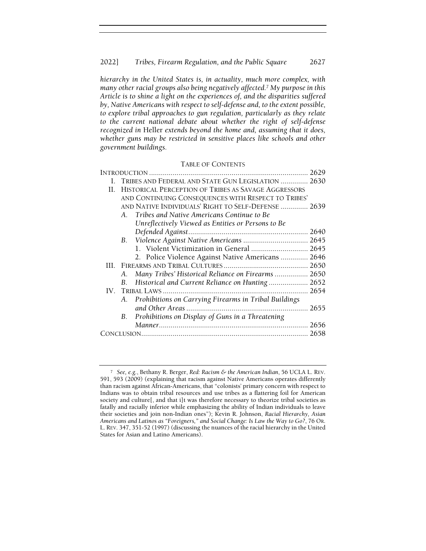hierarchy in the United States is, in actuality, much more complex, with many other racial groups also being negatively affected.<sup>7</sup> My purpose in this Article is to shine a light on the experiences of, and the disparities suffered by, Native Americans with respect to self-defense and, to the extent possible, to explore tribal approaches to gun regulation, particularly as they relate to the current national debate about whether the right of self-defense recognized in Heller extends beyond the home and, assuming that it does, whether guns may be restricted in sensitive places like schools and other government buildings.

## TABLE OF CONTENTS

|      |    |                                                       | 2629 |
|------|----|-------------------------------------------------------|------|
| L.   |    | TRIBES AND FEDERAL AND STATE GUN LEGISLATION  2630    |      |
| H.   |    | HISTORICAL PERCEPTION OF TRIBES AS SAVAGE AGGRESSORS  |      |
|      |    | AND CONTINUING CONSEQUENCES WITH RESPECT TO TRIBES'   |      |
|      |    | AND NATIVE INDIVIDUALS' RIGHT TO SELF-DEFENSE  2639   |      |
|      |    | A. Tribes and Native Americans Continue to Be         |      |
|      |    | Unreflectively Viewed as Entities or Persons to Be    |      |
|      |    |                                                       |      |
|      |    | B. Violence Against Native Americans  2645            |      |
|      |    | 1. Violent Victimization in General  2645             |      |
|      |    | 2. Police Violence Against Native Americans  2646     |      |
|      |    |                                                       |      |
|      | A. | Many Tribes' Historical Reliance on Firearms  2650    |      |
|      | B. | Historical and Current Reliance on Hunting  2652      |      |
|      |    |                                                       |      |
|      | А. | Prohibitions on Carrying Firearms in Tribal Buildings |      |
|      |    |                                                       |      |
|      | B. | Prohibitions on Display of Guns in a Threatening      |      |
|      |    |                                                       | 2656 |
| 2658 |    |                                                       |      |
|      |    |                                                       |      |

<sup>7</sup> See, e.g., Bethany R. Berger, Red: Racism & the American Indian, 56 UCLA L. REV. 591, 593 (2009) (explaining that racism against Native Americans operates differently than racism against African-Americans, that "colonists' primary concern with respect to Indians was to obtain tribal resources and use tribes as a flattering foil for American society and culture[, and that i]t was therefore necessary to theorize tribal societies as fatally and racially inferior while emphasizing the ability of Indian individuals to leave their societies and join non-Indian ones"); Kevin R. Johnson, Racial Hierarchy, Asian Americans and Latinos as "Foreigners," and Social Change: Is Law the Way to Go?, 76 OR. L. REV. 347, 351-52 (1997) (discussing the nuances of the racial hierarchy in the United States for Asian and Latino Americans).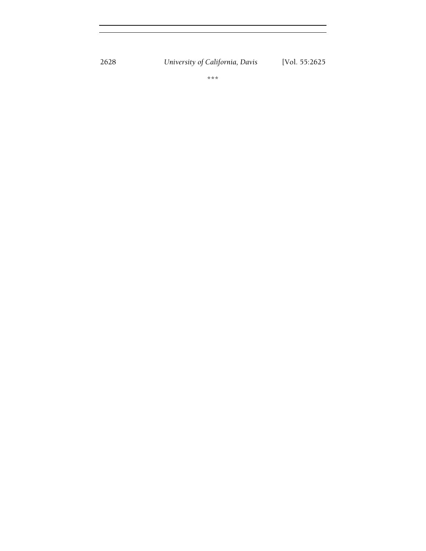| 2628 | University of California, Davis | [Vol. 55:2625] |
|------|---------------------------------|----------------|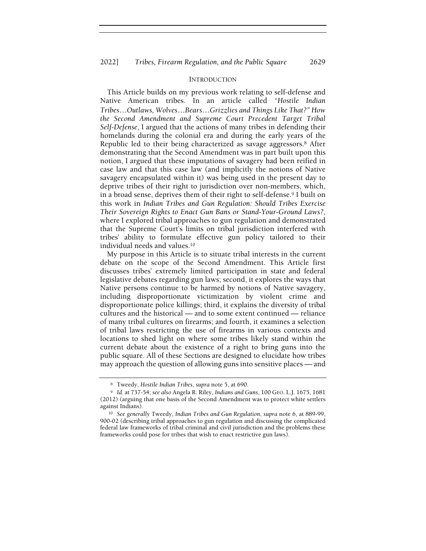#### INTRODUCTION

This Article builds on my previous work relating to self-defense and Native American tribes. In an article called "Hostile Indian Tribes…Outlaws, Wolves…Bears…Grizzlies and Things Like That?" How the Second Amendment and Supreme Court Precedent Target Tribal Self-Defense, I argued that the actions of many tribes in defending their homelands during the colonial era and during the early years of the Republic led to their being characterized as savage aggressors.8 After demonstrating that the Second Amendment was in part built upon this notion, I argued that these imputations of savagery had been reified in case law and that this case law (and implicitly the notions of Native savagery encapsulated within it) was being used in the present day to deprive tribes of their right to jurisdiction over non-members, which, in a broad sense, deprives them of their right to self-defense.9 I built on this work in Indian Tribes and Gun Regulation: Should Tribes Exercise Their Sovereign Rights to Enact Gun Bans or Stand-Your-Ground Laws?, where I explored tribal approaches to gun regulation and demonstrated that the Supreme Court's limits on tribal jurisdiction interfered with tribes' ability to formulate effective gun policy tailored to their individual needs and values.<sup>10</sup>

My purpose in this Article is to situate tribal interests in the current debate on the scope of the Second Amendment. This Article first discusses tribes' extremely limited participation in state and federal legislative debates regarding gun laws; second, it explores the ways that Native persons continue to be harmed by notions of Native savagery, including disproportionate victimization by violent crime and disproportionate police killings; third, it explains the diversity of tribal cultures and the historical — and to some extent continued — reliance of many tribal cultures on firearms; and fourth, it examines a selection of tribal laws restricting the use of firearms in various contexts and locations to shed light on where some tribes likely stand within the current debate about the existence of a right to bring guns into the public square. All of these Sections are designed to elucidate how tribes may approach the question of allowing guns into sensitive places — and

<sup>8</sup> Tweedy, Hostile Indian Tribes, supra note 5, at 690.

<sup>9</sup> Id. at 737-54; see also Angela R. Riley, Indians and Guns, 100 GEO. L.J. 1675, 1681 (2012) (arguing that one basis of the Second Amendment was to protect white settlers against Indians).

<sup>10</sup> See generally Tweedy, Indian Tribes and Gun Regulation, supra note 6, at 889-99, 900-02 (describing tribal approaches to gun regulation and discussing the complicated federal law frameworks of tribal criminal and civil jurisdiction and the problems these frameworks could pose for tribes that wish to enact restrictive gun laws).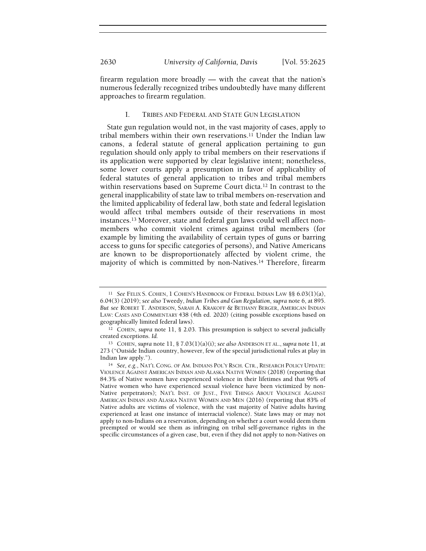firearm regulation more broadly — with the caveat that the nation's numerous federally recognized tribes undoubtedly have many different approaches to firearm regulation.

# I. TRIBES AND FEDERAL AND STATE GUN LEGISLATION

State gun regulation would not, in the vast majority of cases, apply to tribal members within their own reservations.11 Under the Indian law canons, a federal statute of general application pertaining to gun regulation should only apply to tribal members on their reservations if its application were supported by clear legislative intent; nonetheless, some lower courts apply a presumption in favor of applicability of federal statutes of general application to tribes and tribal members within reservations based on Supreme Court dicta.<sup>12</sup> In contrast to the general inapplicability of state law to tribal members on-reservation and the limited applicability of federal law, both state and federal legislation would affect tribal members outside of their reservations in most instances.13 Moreover, state and federal gun laws could well affect nonmembers who commit violent crimes against tribal members (for example by limiting the availability of certain types of guns or barring access to guns for specific categories of persons), and Native Americans are known to be disproportionately affected by violent crime, the majority of which is committed by non-Natives.<sup>14</sup> Therefore, firearm

<sup>&</sup>lt;sup>11</sup> See FELIX S. COHEN, 1 COHEN'S HANDBOOK OF FEDERAL INDIAN LAW §§  $6.03(1)(a)$ , 6.04(3) (2019); see also Tweedy, Indian Tribes and Gun Regulation, supra note 6, at 895. But see ROBERT T. ANDERSON, SARAH A. KRAKOFF & BETHANY BERGER, AMERICAN INDIAN LAW: CASES AND COMMENTARY 438 (4th ed. 2020) (citing possible exceptions based on geographically limited federal laws).

<sup>12</sup> COHEN, supra note 11, § 2.03. This presumption is subject to several judicially created exceptions. Id.

<sup>13</sup> COHEN, supra note  $11$ , § 7.03(1)(a)(i); see also ANDERSON ET AL., supra note 11, at 273 ("Outside Indian country, however, few of the special jurisdictional rules at play in Indian law apply.").

<sup>14</sup> See, e.g., NAT'L CONG. OF AM. INDIANS POL'Y RSCH. CTR., RESEARCH POLICY UPDATE: VIOLENCE AGAINST AMERICAN INDIAN AND ALASKA NATIVE WOMEN (2018) (reporting that 84.3% of Native women have experienced violence in their lifetimes and that 96% of Native women who have experienced sexual violence have been victimized by non-Native perpetrators); NAT'L INST. OF JUST., FIVE THINGS ABOUT VIOLENCE AGAINST AMERICAN INDIAN AND ALASKA NATIVE WOMEN AND MEN (2016) (reporting that 83% of Native adults are victims of violence, with the vast majority of Native adults having experienced at least one instance of interracial violence). State laws may or may not apply to non-Indians on a reservation, depending on whether a court would deem them preempted or would see them as infringing on tribal self-governance rights in the specific circumstances of a given case, but, even if they did not apply to non-Natives on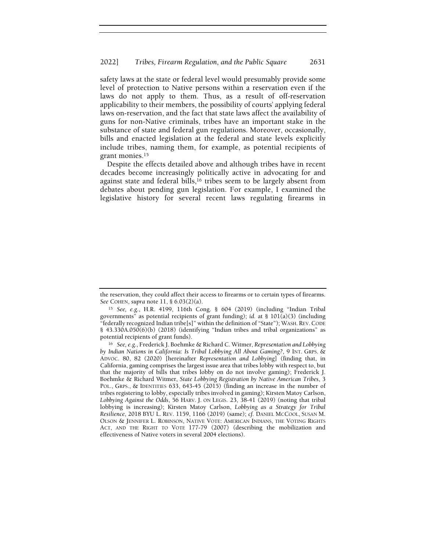safety laws at the state or federal level would presumably provide some level of protection to Native persons within a reservation even if the laws do not apply to them. Thus, as a result of off-reservation applicability to their members, the possibility of courts' applying federal laws on-reservation, and the fact that state laws affect the availability of guns for non-Native criminals, tribes have an important stake in the substance of state and federal gun regulations. Moreover, occasionally, bills and enacted legislation at the federal and state levels explicitly include tribes, naming them, for example, as potential recipients of grant monies.<sup>15</sup>

Despite the effects detailed above and although tribes have in recent decades become increasingly politically active in advocating for and against state and federal bills,<sup>16</sup> tribes seem to be largely absent from debates about pending gun legislation. For example, I examined the legislative history for several recent laws regulating firearms in

the reservation, they could affect their access to firearms or to certain types of firearms. See COHEN, supra note 11, § 6.03(2)(a).

<sup>15</sup> See, e.g., H.R. 4199, 116th Cong. § 604 (2019) (including "Indian Tribal governments" as potential recipients of grant funding); id. at § 101(a)(3) (including "federally recognized Indian tribe[s]" within the definition of "State"); WASH. REV.CODE § 43.330A.050(6)(b) (2018) (identifying "Indian tribes and tribal organizations" as potential recipients of grant funds).

<sup>16</sup> See, e.g., Frederick J. Boehmke & Richard C. Witmer, Representation and Lobbying by Indian Nations in California: Is Tribal Lobbying All About Gaming?, 9 INT. GRPS. & ADVOC. 80, 82 (2020) [hereinafter Representation and Lobbying] (finding that, in California, gaming comprises the largest issue area that tribes lobby with respect to, but that the majority of bills that tribes lobby on do not involve gaming); Frederick J. Boehmke & Richard Witmer, State Lobbying Registration by Native American Tribes, 3 POL., GRPS., & IDENTITIES 633, 643-45 (2015) (finding an increase in the number of tribes registering to lobby, especially tribes involved in gaming); Kirsten Matoy Carlson, Lobbying Against the Odds, 56 HARV. J. ON LEGIS. 23, 38-41 (2019) (noting that tribal lobbying is increasing); Kirsten Matoy Carlson, Lobbying as a Strategy for Tribal Resilience, 2018 BYU L. REV. 1159, 1166 (2019) (same); cf. DANIEL MCCOOL, SUSAN M. OLSON & JENNIFER L. ROBINSON, NATIVE VOTE: AMERICAN INDIANS, THE VOTING RIGHTS ACT, AND THE RIGHT TO VOTE 177-79 (2007) (describing the mobilization and effectiveness of Native voters in several 2004 elections).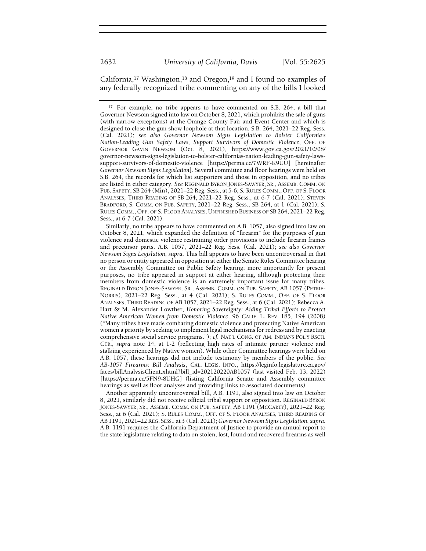California,<sup>17</sup> Washington,<sup>18</sup> and Oregon,<sup>19</sup> and I found no examples of any federally recognized tribe commenting on any of the bills I looked

Similarly, no tribe appears to have commented on A.B. 1057, also signed into law on October 8, 2021, which expanded the definition of "firearm" for the purposes of gun violence and domestic violence restraining order provisions to include firearm frames and precursor parts. A.B. 1057, 2021–22 Reg. Sess. (Cal. 2021); see also Governor Newsom Signs Legislation, supra. This bill appears to have been uncontroversial in that no person or entity appeared in opposition at either the Senate Rules Committee hearing or the Assembly Committee on Public Safety hearing; more importantly for present purposes, no tribe appeared in support at either hearing, although protecting their members from domestic violence is an extremely important issue for many tribes. REGINALD BYRON JONES-SAWYER, SR., ASSEMB. COMM. ON PUB. SAFETY, AB 1057 (PETRIE-NORRIS), 2021–22 Reg. Sess., at 4 (Cal. 2021); S. RULES COMM., OFF. OF S. FLOOR ANALYSES, THIRD READING OF AB 1057, 2021–22 Reg. Sess., at 6 (Cal. 2021); Rebecca A. Hart & M. Alexander Lowther, Honoring Sovereignty: Aiding Tribal Efforts to Protect Native American Women from Domestic Violence, 96 CALIF. L. REV. 185, 194 (2008) ("Many tribes have made combating domestic violence and protecting Native American women a priority by seeking to implement legal mechanisms for redress and by enacting comprehensive social service programs."); cf. NAT'L CONG. OF AM. INDIANS POL'Y RSCH. CTR., supra note 14, at 1-2 (reflecting high rates of intimate partner violence and stalking experienced by Native women). While other Committee hearings were held on A.B. 1057, these hearings did not include testimony by members of the public. See AB-1057 Firearms: Bill Analysis, CAL. LEGIS. INFO., https://leginfo.legislature.ca.gov/ faces/billAnalysisClient.xhtml?bill\_id=202120220AB1057 (last visited Feb. 13, 2022) [https://perma.cc/5FN9-8UHG] (listing California Senate and Assembly committee hearings as well as floor analyses and providing links to associated documents).

Another apparently uncontroversial bill, A.B. 1191, also signed into law on October 8, 2021, similarly did not receive official tribal support or opposition. REGINALD BYRON JONES-SAWYER, SR., ASSEMB. COMM. ON PUB. SAFETY, AB 1191 (MCCARTY), 2021–22 Reg. Sess., at 6 (Cal. 2021); S. RULES COMM., OFF. OF S. FLOOR ANALYSES, THIRD READING OF AB 1191, 2021–22 REG. SESS., at 3 (Cal. 2021); Governor Newsom Signs Legislation, supra. A.B. 1191 requires the California Department of Justice to provide an annual report to the state legislature relating to data on stolen, lost, found and recovered firearms as well

<sup>&</sup>lt;sup>17</sup> For example, no tribe appears to have commented on S.B. 264, a bill that Governor Newsom signed into law on October 8, 2021, which prohibits the sale of guns (with narrow exceptions) at the Orange County Fair and Event Center and which is designed to close the gun show loophole at that location. S.B. 264, 2021–22 Reg. Sess. (Cal. 2021); see also Governor Newsom Signs Legislation to Bolster California's Nation-Leading Gun Safety Laws, Support Survivors of Domestic Violence, OFF. OF GOVERNOR GAVIN NEWSOM (Oct. 8, 2021), https://www.gov.ca.gov/2021/10/08/ governor-newsom-signs-legislation-to-bolster-californias-nation-leading-gun-safety-lawssupport-survivors-of-domestic-violence [https://perma.cc/7WRF-K9UU] [hereinafter Governor Newsom Signs Legislation]. Several committee and floor hearings were held on S.B. 264, the records for which list supporters and those in opposition, and no tribes are listed in either category. See REGINALD BYRON JONES-SAWYER, SR., ASSEMB. COMM. ON PUB. SAFETY, SB 264 (Min), 2021–22 Reg. Sess., at 5-6; S. RULES COMM., OFF. OF S. FLOOR ANALYSES, THIRD READING OF SB 264, 2021–22 Reg. Sess., at 6-7 (Cal. 2021); STEVEN BRADFORD, S. COMM. ON PUB. SAFETY, 2021–22 Reg. Sess., SB 264, at 1 (Cal. 2021); S. RULES COMM., OFF. OF S. FLOOR ANALYSES, UNFINISHED BUSINESS OF SB 264, 2021–22 Reg. Sess., at 6-7 (Cal. 2021).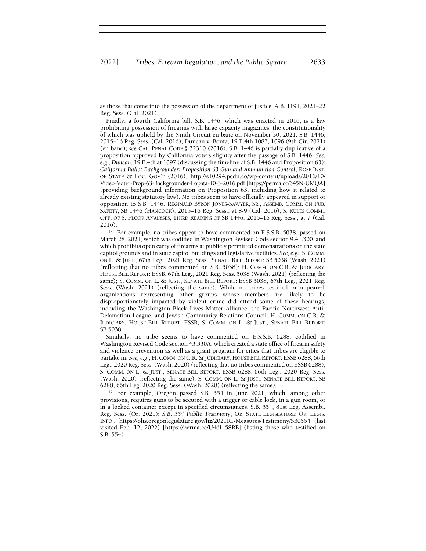<sup>18</sup> For example, no tribes appear to have commented on E.S.S.B. 5038, passed on March 28, 2021, which was codified in Washington Revised Code section 9.41.300, and which prohibits open carry of firearms at publicly permitted demonstrations on the state capitol grounds and in state capitol buildings and legislative facilities. See, e.g., S.COMM. ON L. & JUST., 67th Leg., 2021 Reg. Sess., SENATE BILL REPORT: SB 5038 (Wash. 2021) (reflecting that no tribes commented on S.B. 5038); H. COMM. ON C.R. & JUDICIARY, HOUSE BILL REPORT: ESSB, 67th Leg., 2021 Reg. Sess. 5038 (Wash. 2021) (reflecting the same); S. COMM. ON L. & JUST., SENATE BILL REPORT: ESSB 5038, 67th Leg., 2021 Reg. Sess. (Wash. 2021) (reflecting the same). While no tribes testified or appeared, organizations representing other groups whose members are likely to be disproportionately impacted by violent crime did attend some of these hearings, including the Washington Black Lives Matter Alliance, the Pacific Northwest Anti-Defamation League, and Jewish Community Relations Council. H. COMM. ON C.R. & JUDICIARY, HOUSE BILL REPORT: ESSB; S. COMM. ON L. & JUST., SENATE BILL REPORT: SB 5038.

Similarly, no tribe seems to have commented on E.S.S.B. 6288, codified in Washington Revised Code section 43.330A, which created a state office of firearm safety and violence prevention as well as a grant program for cities that tribes are eligible to partake in. See, e.g., H.COMM. ON C.R. & JUDICIARY, HOUSE BILL REPORT: ESSB 6288, 66th Leg., 2020 Reg. Sess. (Wash. 2020) (reflecting that no tribes commented on ESSB 6288); S. COMM. ON L. & JUST., SENATE BILL REPORT: ESSB 6288, 66th Leg., 2020 Reg. Sess. (Wash. 2020) (reflecting the same); S. COMM. ON L. & JUST., SENATE BILL REPORT: SB 6288, 66th Leg. 2020 Reg. Sess. (Wash. 2020) (reflecting the same).

<sup>19</sup> For example, Oregon passed S.B. 554 in June 2021, which, among other provisions, requires guns to be secured with a trigger or cable lock, in a gun room, or in a locked container except in specified circumstances. S.B. 554, 81st Leg. Assemb., Reg. Sess. (Or. 2021); S.B. 554 Public Testimony, OR. STATE LEGISLATURE: OR. LEGIS. INFO., https://olis.oregonlegislature.gov/liz/2021R1/Measures/Testimony/SB0554 (last visited Feb. 12, 2022) [https://perma.cc/U46L-58RB] (listing those who testified on S.B. 554).

as those that come into the possession of the department of justice. A.B. 1191, 2021–22 Reg. Sess. (Cal. 2021).

Finally, a fourth California bill, S.B. 1446, which was enacted in 2016, is a law prohibiting possession of firearms with large capacity magazines, the constitutionality of which was upheld by the Ninth Circuit en banc on November 30, 2021. S.B. 1446, 2015–16 Reg. Sess. (Cal. 2016); Duncan v. Bonta, 19 F.4th 1087, 1096 (9th Cir. 2021) (en banc); see CAL. PENAL CODE § 32310 (2016). S.B. 1446 is partially duplicative of a proposition approved by California voters slightly after the passage of S.B. 1446. See, e.g., Duncan, 19 F.4th at 1097 (discussing the timeline of S.B. 1446 and Proposition 63); California Ballot Backgrounder: Proposition 63 Gun and Ammunition Control, ROSE INST. OF STATE & LOC. GOV'T (2016), http://s10294.pcdn.co/wp-content/uploads/2016/10/ Video-Voter-Prop-63-Backgrounder-Lopata-10-3-2016.pdf [https://perma.cc/645N-UMQA] (providing background information on Proposition 63, including how it related to already existing statutory law). No tribes seem to have officially appeared in support or opposition to S.B. 1446. REGINALD BYRON JONES-SAWYER, SR., ASSEMB. COMM. ON PUB. SAFETY, SB 1446 (HANCOCK), 2015–16 Reg. Sess., at 8-9 (Cal. 2016); S. RULES COMM., OFF. OF S. FLOOR ANALYSES, THIRD READING OF SB 1446, 2015–16 Reg. Sess., at 7 (Cal. 2016).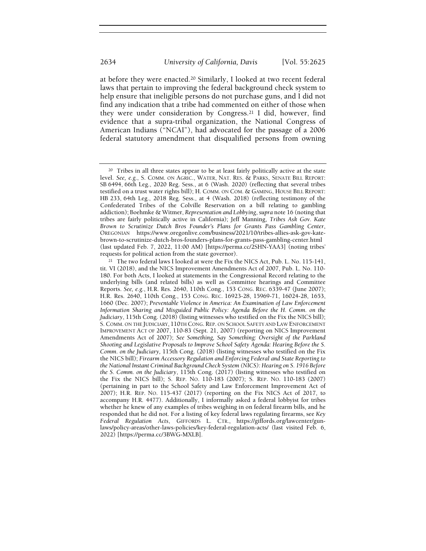at before they were enacted.20 Similarly, I looked at two recent federal laws that pertain to improving the federal background check system to help ensure that ineligible persons do not purchase guns, and I did not find any indication that a tribe had commented on either of those when they were under consideration by Congress.21 I did, however, find evidence that a supra-tribal organization, the National Congress of American Indians ("NCAI"), had advocated for the passage of a 2006 federal statutory amendment that disqualified persons from owning

<sup>20</sup> Tribes in all three states appear to be at least fairly politically active at the state level. See, e.g., S. COMM. ON AGRIC., WATER, NAT. RES. & PARKS, SENATE BILL REPORT: SB 6494, 66th Leg., 2020 Reg. Sess., at 6 (Wash. 2020) (reflecting that several tribes testified on a trust water rights bill); H. COMM. ON COM. & GAMING, HOUSE BILL REPORT: HB 233, 64th Leg., 2018 Reg. Sess., at 4 (Wash. 2018) (reflecting testimony of the Confederated Tribes of the Colville Reservation on a bill relating to gambling addiction); Boehmke & Witmer, Representation and Lobbying, supra note 16 (noting that tribes are fairly politically active in California); Jeff Manning, Tribes Ask Gov. Kate Brown to Scrutinize Dutch Bros Founder's Plans for Grants Pass Gambling Center, OREGONIAN https://www.oregonlive.com/business/2021/10/tribes-allies-ask-gov-katebrown-to-scrutinize-dutch-bros-founders-plans-for-grants-pass-gambling-center.html (last updated Feb. 7, 2022, 11:00 AM) [https://perma.cc/2SHN-YAA3] (noting tribes' requests for political action from the state governor).

<sup>21</sup> The two federal laws I looked at were the Fix the NICS Act, Pub. L. No. 115-141, tit. VI (2018), and the NICS Improvement Amendments Act of 2007, Pub. L. No. 110- 180. For both Acts, I looked at statements in the Congressional Record relating to the underlying bills (and related bills) as well as Committee hearings and Committee Reports. See, e.g., H.R. Res. 2640, 110th Cong., 153 CONG. REC. 6339-47 (June 2007); H.R. Res. 2640, 110th Cong., 153 CONG. REC. 16923-28, 15969-71, 16024-28, 1653, 1660 (Dec. 2007); Preventable Violence in America: An Examination of Law Enforcement Information Sharing and Misguided Public Policy: Agenda Before the H. Comm. on the Judiciary, 115th Cong. (2018) (listing witnesses who testified on the Fix the NICS bill); S.COMM. ON THE JUDICIARY, 110TH CONG. REP. ON SCHOOL SAFETY AND LAW ENFORCEMENT IMPROVEMENT ACT OF 2007, 110-83 (Sept. 21, 2007) (reporting on NICS Improvement Amendments Act of 2007); See Something, Say Something: Oversight of the Parkland Shooting and Legislative Proposals to Improve School Safety Agenda: Hearing Before the S. Comm. on the Judiciary, 115th Cong. (2018) (listing witnesses who testified on the Fix the NICS bill); Firearm Accessory Regulation and Enforcing Federal and State Reporting to the National Instant Criminal Background Check System (NICS): Hearing on S. 1916 Before the S. Comm. on the Judiciary, 115th Cong. (2017) (listing witnesses who testified on the Fix the NICS bill); S. REP. NO. 110-183 (2007); S. REP. NO. 110-183 (2007) (pertaining in part to the School Safety and Law Enforcement Improvement Act of 2007); H.R. REP. NO. 115-437 (2017) (reporting on the Fix NICS Act of 2017, to accompany H.R. 4477). Additionally, I informally asked a federal lobbyist for tribes whether he knew of any examples of tribes weighing in on federal firearm bills, and he responded that he did not. For a listing of key federal laws regulating firearms, see Key Federal Regulation Acts, GIFFORDS L. CTR., https://giffords.org/lawcenter/gunlaws/policy-areas/other-laws-policies/key-federal-regulation-acts/ (last visited Feb. 6, 2022) [https://perma.cc/3BWG-MXLB].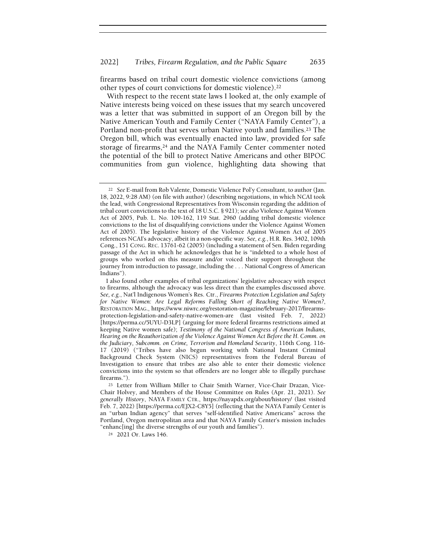firearms based on tribal court domestic violence convictions (among other types of court convictions for domestic violence).<sup>22</sup>

With respect to the recent state laws I looked at, the only example of Native interests being voiced on these issues that my search uncovered was a letter that was submitted in support of an Oregon bill by the Native American Youth and Family Center ("NAYA Family Center"), a Portland non-profit that serves urban Native youth and families.23 The Oregon bill, which was eventually enacted into law, provided for safe storage of firearms,24 and the NAYA Family Center commenter noted the potential of the bill to protect Native Americans and other BIPOC communities from gun violence, highlighting data showing that

<sup>22</sup> See E-mail from Rob Valente, Domestic Violence Pol'y Consultant, to author (Jan. 18, 2022, 9:28 AM) (on file with author) (describing negotiations, in which NCAI took the lead, with Congressional Representatives from Wisconsin regarding the addition of tribal court convictions to the text of 18 U.S.C. § 921); see also Violence Against Women Act of 2005, Pub. L. No. 109-162, 119 Stat. 2960 (adding tribal domestic violence convictions to the list of disqualifying convictions under the Violence Against Women Act of 2005). The legislative history of the Violence Against Women Act of 2005 references NCAI's advocacy, albeit in a non-specific way. See, e.g., H.R. Res. 3402, 109th Cong., 151 CONG. REC. 13761-62 (2005) (including a statement of Sen. Biden regarding passage of the Act in which he acknowledges that he is "indebted to a whole host of groups who worked on this measure and/or voiced their support throughout the journey from introduction to passage, including the . . . National Congress of American Indians").

I also found other examples of tribal organizations' legislative advocacy with respect to firearms, although the advocacy was less direct than the examples discussed above. See, e.g., Nat'l Indigenous Women's Res. Ctr., Firearms Protection Legislation and Safety for Native Women: Are Legal Reforms Falling Short of Reaching Native Women?, RESTORATION MAG., https://www.niwrc.org/restoration-magazine/february-2017/firearmsprotection-legislation-and-safety-native-women-are (last visited Feb. 7, 2022) [https://perma.cc/5UYU-D3LP] (arguing for more federal firearms restrictions aimed at keeping Native women safe); Testimony of the National Congress of American Indians, Hearing on the Reauthorization of the Violence Against Women Act Before the H. Comm. on the Judiciary, Subcomm. on Crime, Terrorism and Homeland Security, 116th Cong. 116- 17 (2019) ("Tribes have also begun working with National Instant Criminal Background Check System (NICS) representatives from the Federal Bureau of Investigation to ensure that tribes are also able to enter their domestic violence convictions into the system so that offenders are no longer able to illegally purchase firearms.").

<sup>23</sup> Letter from William Miller to Chair Smith Warner, Vice-Chair Drazan, Vice-Chair Holvey, and Members of the House Committee on Rules (Apr. 21, 2021). See generally History, NAYA FAMILY CTR., https://nayapdx.org/about/history/ (last visited Feb. 7, 2022) [https://perma.cc/EJX2-C8Y5] (reflecting that the NAYA Family Center is an "urban Indian agency" that serves "self-identified Native Americans" across the Portland, Oregon metropolitan area and that NAYA Family Center's mission includes "enhanc[ing] the diverse strengths of our youth and families").

<sup>24</sup> 2021 Or. Laws 146.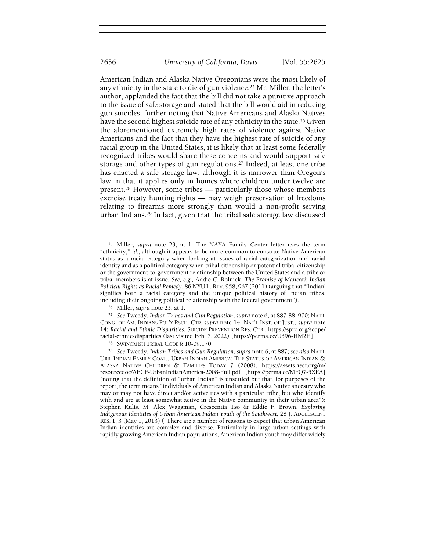American Indian and Alaska Native Oregonians were the most likely of any ethnicity in the state to die of gun violence.25 Mr. Miller, the letter's author, applauded the fact that the bill did not take a punitive approach to the issue of safe storage and stated that the bill would aid in reducing gun suicides, further noting that Native Americans and Alaska Natives have the second highest suicide rate of any ethnicity in the state.<sup>26</sup> Given the aforementioned extremely high rates of violence against Native Americans and the fact that they have the highest rate of suicide of any racial group in the United States, it is likely that at least some federally recognized tribes would share these concerns and would support safe storage and other types of gun regulations.27 Indeed, at least one tribe has enacted a safe storage law, although it is narrower than Oregon's law in that it applies only in homes where children under twelve are present.28 However, some tribes — particularly those whose members exercise treaty hunting rights — may weigh preservation of freedoms relating to firearms more strongly than would a non-profit serving urban Indians.29 In fact, given that the tribal safe storage law discussed

<sup>25</sup> Miller, supra note 23, at 1. The NAYA Family Center letter uses the term "ethnicity," id., although it appears to be more common to construe Native American status as a racial category when looking at issues of racial categorization and racial identity and as a political category when tribal citizenship or potential tribal citizenship or the government-to-government relationship between the United States and a tribe or tribal members is at issue. See, e.g., Addie C. Rolnick, The Promise of Mancari: Indian Political Rights as Racial Remedy, 86 NYU L. REV. 958, 967 (2011) (arguing that "'Indian' signifies both a racial category and the unique political history of Indian tribes, including their ongoing political relationship with the federal government").

<sup>26</sup> Miller, supra note 23, at 1.

<sup>27</sup> See Tweedy, Indian Tribes and Gun Regulation, supra note 6, at 887-88, 900; NAT'<sup>L</sup> CONG. OF AM. INDIANS POL'Y RSCH. CTR, supra note 14; NAT'L INST. OF JUST., supra note 14; Racial and Ethnic Disparities, SUICIDE PREVENTION RES. CTR., https://sprc.org/scope/ racial-ethnic-disparities (last visited Feb. 7, 2022) [https://perma.cc/U396-HM2H].

<sup>28</sup> SWINOMISH TRIBAL CODE § 10-09.170.

<sup>29</sup> See Tweedy, Indian Tribes and Gun Regulation, supra note 6, at 887; see also NAT'<sup>L</sup> URB. INDIAN FAMILY COAL., URBAN INDIAN AMERICA: THE STATUS OF AMERICAN INDIAN & ALASKA NATIVE CHILDREN & FAMILIES TODAY 7 (2008), https://assets.aecf.org/m/ resourcedoc/AECF-UrbanIndianAmerica-2008-Full.pdf [https://perma.cc/MFQ7-5XEA] (noting that the definition of "urban Indian" is unsettled but that, for purposes of the report, the term means "individuals of American Indian and Alaska Native ancestry who may or may not have direct and/or active ties with a particular tribe, but who identify with and are at least somewhat active in the Native community in their urban area"); Stephen Kulis, M. Alex Wagaman, Crescentia Tso & Eddie F. Brown, Exploring Indigenous Identities of Urban American Indian Youth of the Southwest, 28 J. ADOLESCENT RES. 1, 3 (May 1, 2013) ("There are a number of reasons to expect that urban American Indian identities are complex and diverse. Particularly in large urban settings with rapidly growing American Indian populations, American Indian youth may differ widely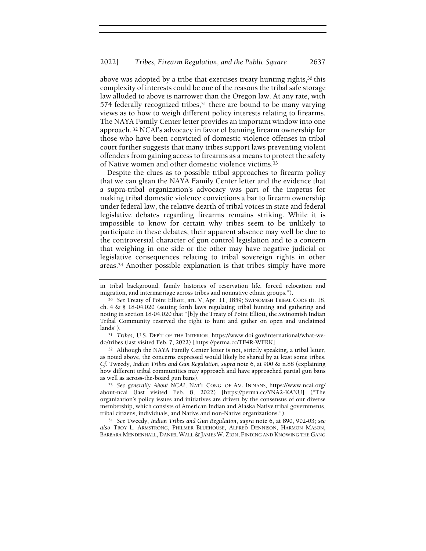above was adopted by a tribe that exercises treaty hunting rights,<sup>30</sup> this complexity of interests could be one of the reasons the tribal safe storage law alluded to above is narrower than the Oregon law. At any rate, with 574 federally recognized tribes,  $31$  there are bound to be many varying views as to how to weigh different policy interests relating to firearms. The NAYA Family Center letter provides an important window into one approach. 32 NCAI's advocacy in favor of banning firearm ownership for those who have been convicted of domestic violence offenses in tribal court further suggests that many tribes support laws preventing violent offenders from gaining access to firearms as a means to protect the safety of Native women and other domestic violence victims.<sup>33</sup>

Despite the clues as to possible tribal approaches to firearm policy that we can glean the NAYA Family Center letter and the evidence that a supra-tribal organization's advocacy was part of the impetus for making tribal domestic violence convictions a bar to firearm ownership under federal law, the relative dearth of tribal voices in state and federal legislative debates regarding firearms remains striking. While it is impossible to know for certain why tribes seem to be unlikely to participate in these debates, their apparent absence may well be due to the controversial character of gun control legislation and to a concern that weighing in one side or the other may have negative judicial or legislative consequences relating to tribal sovereign rights in other areas.34 Another possible explanation is that tribes simply have more

<sup>31</sup> Tribes, U.S. DEP'T OF THE INTERIOR, https://www.doi.gov/international/what-wedo/tribes (last visited Feb. 7, 2022) [https://perma.cc/TF4R-WFRK].

<sup>32</sup> Although the NAYA Family Center letter is not, strictly speaking, a tribal letter, as noted above, the concerns expressed would likely be shared by at least some tribes. Cf. Tweedy, Indian Tribes and Gun Regulation, supra note 6, at 900 & n.88 (explaining how different tribal communities may approach and have approached partial gun bans as well as across-the-board gun bans).

<sup>33</sup> See generally About NCAI, NAT'L CONG. OF AM. INDIANS, https://www.ncai.org/ about-ncai (last visited Feb. 8, 2022) [https://perma.cc/YNA2-KANU] ("The organization's policy issues and initiatives are driven by the consensus of our diverse membership, which consists of American Indian and Alaska Native tribal governments, tribal citizens, individuals, and Native and non-Native organizations.").

<sup>34</sup> See Tweedy, Indian Tribes and Gun Regulation, supra note 6, at 890, 902-03; see also TROY L. ARMSTRONG, PHILMER BLUEHOUSE, ALFRED DENNISON, HARMON MASON, BARBARA MENDENHALL, DANIEL WALL & JAMES W. ZION, FINDING AND KNOWING THE GANG

in tribal background, family histories of reservation life, forced relocation and migration, and intermarriage across tribes and nonnative ethnic groups.").

<sup>30</sup> See Treaty of Point Elliott, art. V, Apr. 11, 1859; SWINOMISH TRIBAL CODE tit. 18, ch. 4 & § 18-04.020 (setting forth laws regulating tribal hunting and gathering and noting in section 18-04.020 that "[b]y the Treaty of Point Elliott, the Swinomish Indian Tribal Community reserved the right to hunt and gather on open and unclaimed lands").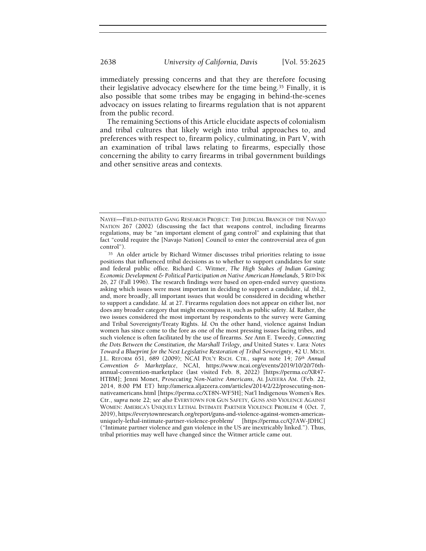immediately pressing concerns and that they are therefore focusing their legislative advocacy elsewhere for the time being.35 Finally, it is also possible that some tribes may be engaging in behind-the-scenes advocacy on issues relating to firearms regulation that is not apparent from the public record.

The remaining Sections of this Article elucidate aspects of colonialism and tribal cultures that likely weigh into tribal approaches to, and preferences with respect to, firearm policy, culminating, in Part V, with an examination of tribal laws relating to firearms, especially those concerning the ability to carry firearms in tribal government buildings and other sensitive areas and contexts.

NAYEE—FIELD-INITIATED GANG RESEARCH PROJECT: THE JUDICIAL BRANCH OF THE NAVAJO NATION 267 (2002) (discussing the fact that weapons control, including firearms regulations, may be "an important element of gang control" and explaining that that fact "could require the [Navajo Nation] Council to enter the controversial area of gun control").

<sup>35</sup> An older article by Richard Witmer discusses tribal priorities relating to issue positions that influenced tribal decisions as to whether to support candidates for state and federal public office. Richard C. Witmer, The High Stakes of Indian Gaming: Economic Development & Political Participation on Native American Homelands, 5 RED INK 26, 27 (Fall 1996). The research findings were based on open-ended survey questions asking which issues were most important in deciding to support a candidate, id. tbl.2, and, more broadly, all important issues that would be considered in deciding whether to support a candidate. Id. at 27. Firearms regulation does not appear on either list, nor does any broader category that might encompass it, such as public safety. Id. Rather, the two issues considered the most important by respondents to the survey were Gaming and Tribal Sovereignty/Treaty Rights. Id. On the other hand, violence against Indian women has since come to the fore as one of the most pressing issues facing tribes, and such violence is often facilitated by the use of firearms. See Ann E. Tweedy, Connecting the Dots Between the Constitution, the Marshall Trilogy, and United States v. Lara: Notes Toward a Blueprint for the Next Legislative Restoration of Tribal Sovereignty, 42 U. MICH. J.L. REFORM 651, 689 (2009); NCAI POL'Y RSCH. CTR., supra note 14; 76<sup>th</sup> Annual Convention & Marketplace, NCAI, https://www.ncai.org/events/2019/10/20/76thannual-convention-marketplace (last visited Feb. 8, 2022) [https://perma.cc/XR47- HTBM]; Jenni Monet, Prosecuting Non-Native Americans, AL JAZEERA AM. (Feb. 22, 2014, 8:00 PM ET) http://america.aljazeera.com/articles/2014/2/22/prosecuting-nonnativeamericans.html [https://perma.cc/XT8N-WF5H]; Nat'l Indigenous Women's Res. Ctr., supra note 22; see also EVERYTOWN FOR GUN SAFETY, GUNS AND VIOLENCE AGAINST WOMEN: AMERICA'S UNIQUELY LETHAL INTIMATE PARTNER VIOLENCE PROBLEM 4 (Oct. 7, 2019), https://everytownresearch.org/report/guns-and-violence-against-women-americasuniquely-lethal-intimate-partner-violence-problem/ [https://perma.cc/Q7AW-JDHC] ("Intimate partner violence and gun violence in the US are inextricably linked."). Thus, tribal priorities may well have changed since the Witmer article came out.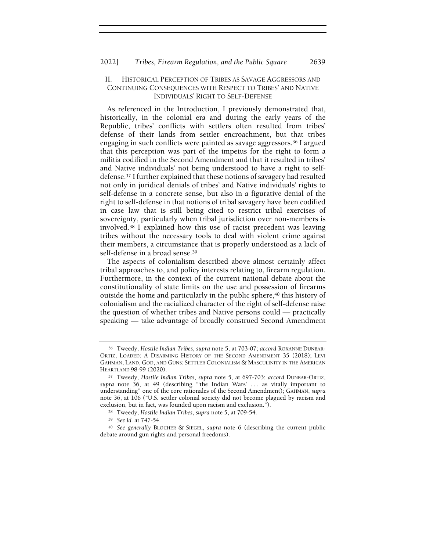# II. HISTORICAL PERCEPTION OF TRIBES AS SAVAGE AGGRESSORS AND CONTINUING CONSEQUENCES WITH RESPECT TO TRIBES' AND NATIVE INDIVIDUALS' RIGHT TO SELF-DEFENSE

As referenced in the Introduction, I previously demonstrated that, historically, in the colonial era and during the early years of the Republic, tribes' conflicts with settlers often resulted from tribes' defense of their lands from settler encroachment, but that tribes engaging in such conflicts were painted as savage aggressors.36 I argued that this perception was part of the impetus for the right to form a militia codified in the Second Amendment and that it resulted in tribes' and Native individuals' not being understood to have a right to selfdefense.37 I further explained that these notions of savagery had resulted not only in juridical denials of tribes' and Native individuals' rights to self-defense in a concrete sense, but also in a figurative denial of the right to self-defense in that notions of tribal savagery have been codified in case law that is still being cited to restrict tribal exercises of sovereignty, particularly when tribal jurisdiction over non-members is involved.38 I explained how this use of racist precedent was leaving tribes without the necessary tools to deal with violent crime against their members, a circumstance that is properly understood as a lack of self-defense in a broad sense.<sup>39</sup>

The aspects of colonialism described above almost certainly affect tribal approaches to, and policy interests relating to, firearm regulation. Furthermore, in the context of the current national debate about the constitutionality of state limits on the use and possession of firearms outside the home and particularly in the public sphere, $40$  this history of colonialism and the racialized character of the right of self-defense raise the question of whether tribes and Native persons could — practically speaking — take advantage of broadly construed Second Amendment

<sup>&</sup>lt;sup>36</sup> Tweedy, Hostile Indian Tribes, supra note 5, at 703-07; accord ROXANNE DUNBAR-ORTIZ, LOADED: A DISARMING HISTORY OF THE SECOND AMENDMENT 35 (2018); LEVI GAHMAN, LAND, GOD, AND GUNS: SETTLER COLONIALISM & MASCULINITY IN THE AMERICAN HEARTLAND 98-99 (2020).

<sup>37</sup> Tweedy, Hostile Indian Tribes, supra note 5, at 697-703; accord DUNBAR-ORTIZ, supra note  $36$ , at  $49$  (describing "the Indian Wars' ... as vitally important to understanding" one of the core rationales of the Second Amendment); GAHMAN, supra note 36, at 106 ("U.S. settler colonial society did not become plagued by racism and exclusion, but in fact, was founded upon racism and exclusion.").

<sup>38</sup> Tweedy, Hostile Indian Tribes, supra note 5, at 709-54.

<sup>39</sup> See id. at 747-54.

<sup>40</sup> See generally BLOCHER & SIEGEL, supra note 6 (describing the current public debate around gun rights and personal freedoms).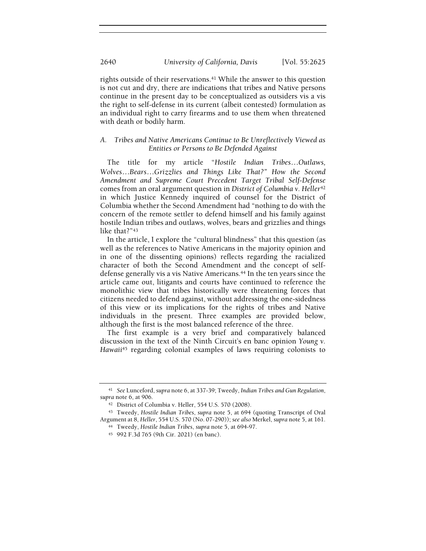rights outside of their reservations.<sup>41</sup> While the answer to this question is not cut and dry, there are indications that tribes and Native persons continue in the present day to be conceptualized as outsiders vis a vis the right to self-defense in its current (albeit contested) formulation as an individual right to carry firearms and to use them when threatened with death or bodily harm.

# A. Tribes and Native Americans Continue to Be Unreflectively Viewed as Entities or Persons to Be Defended Against

The title for my article "Hostile Indian Tribes…Outlaws, Wolves…Bears…Grizzlies and Things Like That?" How the Second Amendment and Supreme Court Precedent Target Tribal Self-Defense comes from an oral argument question in District of Columbia v. Heller<sup>42</sup> in which Justice Kennedy inquired of counsel for the District of Columbia whether the Second Amendment had "nothing to do with the concern of the remote settler to defend himself and his family against hostile Indian tribes and outlaws, wolves, bears and grizzlies and things like that?"<sup>43</sup>

In the article, I explore the "cultural blindness" that this question (as well as the references to Native Americans in the majority opinion and in one of the dissenting opinions) reflects regarding the racialized character of both the Second Amendment and the concept of selfdefense generally vis a vis Native Americans.<sup>44</sup> In the ten years since the article came out, litigants and courts have continued to reference the monolithic view that tribes historically were threatening forces that citizens needed to defend against, without addressing the one-sidedness of this view or its implications for the rights of tribes and Native individuals in the present. Three examples are provided below, although the first is the most balanced reference of the three.

The first example is a very brief and comparatively balanced discussion in the text of the Ninth Circuit's en banc opinion Young v. Hawaii<sup>45</sup> regarding colonial examples of laws requiring colonists to

<sup>41</sup> See Lunceford, supra note 6, at 337-39; Tweedy, Indian Tribes and Gun Regulation, supra note 6, at 906.

<sup>42</sup> District of Columbia v. Heller, 554 U.S. 570 (2008).

<sup>43</sup> Tweedy, Hostile Indian Tribes, supra note 5, at 694 (quoting Transcript of Oral Argument at 8, Heller, 554 U.S. 570 (No. 07-290)); see also Merkel, supra note 5, at 161.

<sup>44</sup> Tweedy, Hostile Indian Tribes, supra note 5, at 694-97.

<sup>45</sup> 992 F.3d 765 (9th Cir. 2021) (en banc).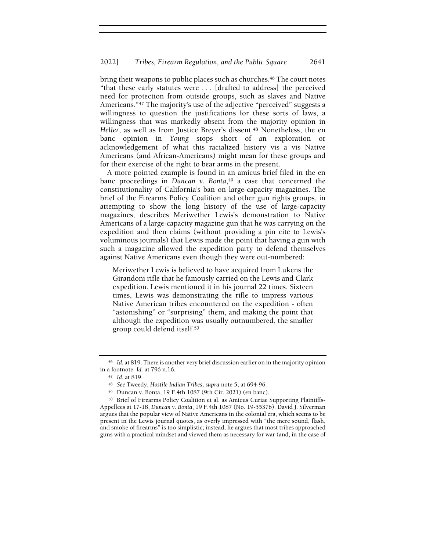bring their weapons to public places such as churches.<sup>46</sup> The court notes "that these early statutes were . . . [drafted to address] the perceived need for protection from outside groups, such as slaves and Native Americans."47 The majority's use of the adjective "perceived" suggests a willingness to question the justifications for these sorts of laws, a willingness that was markedly absent from the majority opinion in Heller, as well as from Justice Breyer's dissent.<sup>48</sup> Nonetheless, the en banc opinion in Young stops short of an exploration or acknowledgement of what this racialized history vis a vis Native Americans (and African-Americans) might mean for these groups and for their exercise of the right to bear arms in the present.

A more pointed example is found in an amicus brief filed in the en banc proceedings in Duncan v. Bonta, $49$  a case that concerned the constitutionality of California's ban on large-capacity magazines. The brief of the Firearms Policy Coalition and other gun rights groups, in attempting to show the long history of the use of large-capacity magazines, describes Meriwether Lewis's demonstration to Native Americans of a large-capacity magazine gun that he was carrying on the expedition and then claims (without providing a pin cite to Lewis's voluminous journals) that Lewis made the point that having a gun with such a magazine allowed the expedition party to defend themselves against Native Americans even though they were out-numbered:

Meriwether Lewis is believed to have acquired from Lukens the Girandoni rifle that he famously carried on the Lewis and Clark expedition. Lewis mentioned it in his journal 22 times. Sixteen times, Lewis was demonstrating the rifle to impress various Native American tribes encountered on the expedition - often "astonishing" or "surprising" them, and making the point that although the expedition was usually outnumbered, the smaller group could defend itself.<sup>50</sup>

<sup>46</sup> Id. at 819. There is another very brief discussion earlier on in the majority opinion in a footnote. Id. at 796 n.16.

<sup>47</sup> Id. at 819.

<sup>48</sup> See Tweedy, Hostile Indian Tribes, supra note 5, at 694-96.

<sup>49</sup> Duncan v. Bonta, 19 F.4th 1087 (9th Cir. 2021) (en banc).

<sup>50</sup> Brief of Firearms Policy Coalition et al. as Amicus Curiae Supporting Plaintiffs-Appellees at 17-18, Duncan v. Bonta, 19 F.4th 1087 (No. 19-55376). David J. Silverman argues that the popular view of Native Americans in the colonial era, which seems to be present in the Lewis journal quotes, as overly impressed with "the mere sound, flash, and smoke of firearms" is too simplistic; instead, he argues that most tribes approached guns with a practical mindset and viewed them as necessary for war (and, in the case of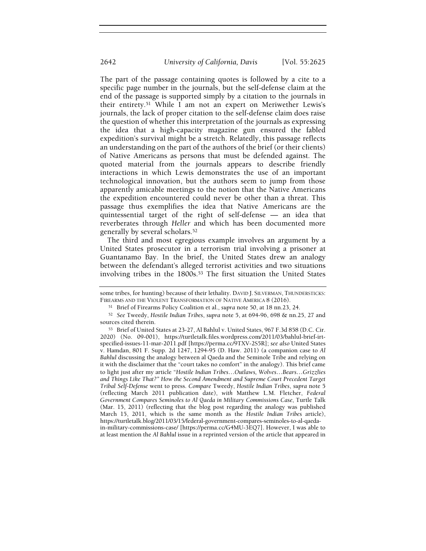The part of the passage containing quotes is followed by a cite to a specific page number in the journals, but the self-defense claim at the end of the passage is supported simply by a citation to the journals in their entirety.51 While I am not an expert on Meriwether Lewis's journals, the lack of proper citation to the self-defense claim does raise the question of whether this interpretation of the journals as expressing the idea that a high-capacity magazine gun ensured the fabled expedition's survival might be a stretch. Relatedly, this passage reflects an understanding on the part of the authors of the brief (or their clients) of Native Americans as persons that must be defended against. The quoted material from the journals appears to describe friendly interactions in which Lewis demonstrates the use of an important technological innovation, but the authors seem to jump from those apparently amicable meetings to the notion that the Native Americans the expedition encountered could never be other than a threat. This passage thus exemplifies the idea that Native Americans are the quintessential target of the right of self-defense — an idea that reverberates through Heller and which has been documented more generally by several scholars.<sup>52</sup>

The third and most egregious example involves an argument by a United States prosecutor in a terrorism trial involving a prisoner at Guantanamo Bay. In the brief, the United States drew an analogy between the defendant's alleged terrorist activities and two situations involving tribes in the 1800s.<sup>53</sup> The first situation the United States

some tribes, for hunting) because of their lethality. DAVID J. SILVERMAN, THUNDERSTICKS: FIREARMS AND THE VIOLENT TRANSFORMATION OF NATIVE AMERICA 8 (2016).

<sup>51</sup> Brief of Firearms Policy Coalition et al., supra note 50, at 18 nn.23, 24.

<sup>52</sup> See Tweedy, Hostile Indian Tribes, supra note 5, at 694-96, 698 & nn.25, 27 and sources cited therein.

<sup>53</sup> Brief of United States at 23-27, Al Bahlul v. United States, 967 F.3d 858 (D.C. Cir. 2020) (No. 09-001), https://turtletalk.files.wordpress.com/2011/03/bahlul-brief-irtspecified-issues-11-mar-2011.pdf [https://perma.cc/9TXV-2S5R]; see also United States v. Hamdan, 801 F. Supp. 2d 1247, 1294-95 (D. Haw. 2011) (a companion case to Al Bahlul discussing the analogy between al Qaeda and the Seminole Tribe and relying on it with the disclaimer that the "court takes no comfort" in the analogy). This brief came to light just after my article "Hostile Indian Tribes…Outlaws, Wolves…Bears…Grizzlies and Things Like That?" How the Second Amendment and Supreme Court Precedent Target Tribal Self-Defense went to press. Compare Tweedy, Hostile Indian Tribes, supra note 5 (reflecting March 2011 publication date), with Matthew L.M. Fletcher, Federal Government Compares Seminoles to Al Qaeda in Military Commissions Case, Turtle Talk (Mar. 15, 2011) (reflecting that the blog post regarding the analogy was published March 15, 2011, which is the same month as the Hostile Indian Tribes article), https://turtletalk.blog/2011/03/15/federal-government-compares-seminoles-to-al-qaedain-military-commissions-case/ [https://perma.cc/G4MU-3EQ7]. However, I was able to at least mention the Al Bahlul issue in a reprinted version of the article that appeared in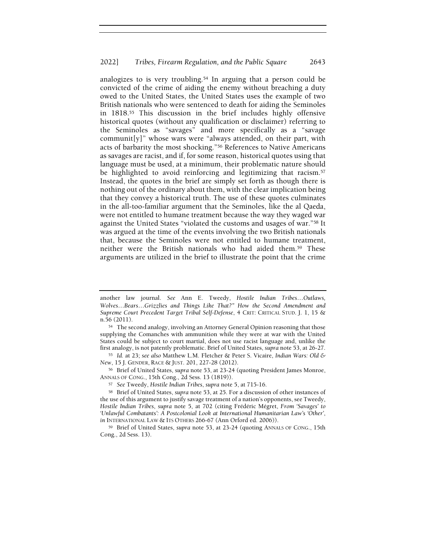analogizes to is very troubling.54 In arguing that a person could be convicted of the crime of aiding the enemy without breaching a duty owed to the United States, the United States uses the example of two British nationals who were sentenced to death for aiding the Seminoles in 1818.55 This discussion in the brief includes highly offensive historical quotes (without any qualification or disclaimer) referring to the Seminoles as "savages" and more specifically as a "savage communit[y]" whose wars were "always attended, on their part, with acts of barbarity the most shocking."56 References to Native Americans as savages are racist, and if, for some reason, historical quotes using that language must be used, at a minimum, their problematic nature should be highlighted to avoid reinforcing and legitimizing that racism.<sup>57</sup> Instead, the quotes in the brief are simply set forth as though there is nothing out of the ordinary about them, with the clear implication being that they convey a historical truth. The use of these quotes culminates in the all-too-familiar argument that the Seminoles, like the al Qaeda, were not entitled to humane treatment because the way they waged war against the United States "violated the customs and usages of war."58 It was argued at the time of the events involving the two British nationals that, because the Seminoles were not entitled to humane treatment, neither were the British nationals who had aided them.59 These arguments are utilized in the brief to illustrate the point that the crime

<sup>56</sup> Brief of United States, supra note 53, at 23-24 (quoting President James Monroe, ANNALS OF CONG., 15th Cong., 2d Sess. 13 (1819)).

another law journal. See Ann E. Tweedy, Hostile Indian Tribes…Outlaws, Wolves…Bears…Grizzlies and Things Like That?" How the Second Amendment and Supreme Court Precedent Target Tribal Self-Defense, 4 CRIT: CRITICAL STUD. J. 1, 15 & n.56 (2011).

<sup>54</sup> The second analogy, involving an Attorney General Opinion reasoning that those supplying the Comanches with ammunition while they were at war with the United States could be subject to court martial, does not use racist language and, unlike the first analogy, is not patently problematic. Brief of United States, supra note 53, at 26-27.

<sup>55</sup> Id. at 23; see also Matthew L.M. Fletcher & Peter S. Vicaire, Indian Wars: Old & New, 15 J. GENDER, RACE & JUST. 201, 227-28 (2012).

<sup>57</sup> See Tweedy, Hostile Indian Tribes, supra note 5, at 715-16.

<sup>58</sup> Brief of United States, supra note 53, at 25. For a discussion of other instances of the use of this argument to justify savage treatment of a nation's opponents, see Tweedy, Hostile Indian Tribes, supra note 5, at 702 (citing Frédéric Mégret, From 'Savages' to 'Unlawful Combatants': A Postcolonial Look at International Humanitarian Law's 'Other', in INTERNATIONAL LAW & ITS OTHERS 266-67 (Ann Orford ed. 2006)).

<sup>59</sup> Brief of United States, supra note 53, at 23-24 (quoting ANNALS OF CONG., 15th Cong., 2d Sess. 13).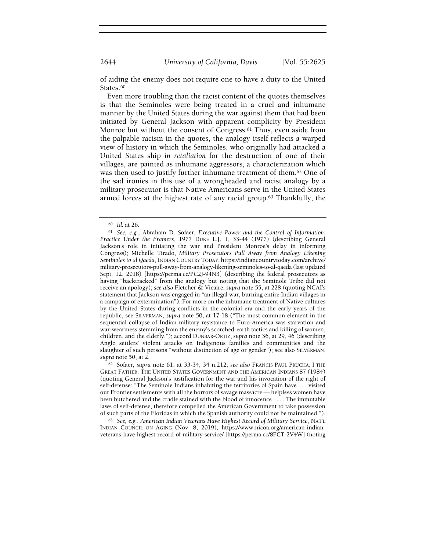of aiding the enemy does not require one to have a duty to the United States.<sup>60</sup>

Even more troubling than the racist content of the quotes themselves is that the Seminoles were being treated in a cruel and inhumane manner by the United States during the war against them that had been initiated by General Jackson with apparent complicity by President Monroe but without the consent of Congress.<sup>61</sup> Thus, even aside from the palpable racism in the quotes, the analogy itself reflects a warped view of history in which the Seminoles, who originally had attacked a United States ship in retaliation for the destruction of one of their villages, are painted as inhumane aggressors, a characterization which was then used to justify further inhumane treatment of them.62 One of the sad ironies in this use of a wrongheaded and racist analogy by a military prosecutor is that Native Americans serve in the United States armed forces at the highest rate of any racial group.63 Thankfully, the

<sup>62</sup> Sofaer, supra note 61, at 33-34, 34 n.212; see also FRANCIS PAUL PRUCHA, I THE GREAT FATHER: THE UNITED STATES GOVERNMENT AND THE AMERICAN INDIANS 87 (1984) (quoting General Jackson's justification for the war and his invocation of the right of self-defense: "The Seminole Indians inhabiting the territories of Spain have . . . visited our Frontier settlements with all the horrors of savage massacre — helpless women have been butchered and the cradle stained with the blood of innocence . . . . The immutable laws of self-defense, therefore compelled the American Government to take possession of such parts of the Floridas in which the Spanish authority could not be maintained.").

<sup>63</sup> See, e.g., American Indian Veterans Have Highest Record of Military Service, NAT'<sup>L</sup> INDIAN COUNCIL ON AGING (Nov. 8, 2019), https://www.nicoa.org/american-indianveterans-have-highest-record-of-military-service/ [https://perma.cc/8FCT-2V4W] (noting

<sup>60</sup> Id. at 26.

<sup>61</sup> See, e.g., Abraham D. Sofaer, Executive Power and the Control of Information: Practice Under the Framers, 1977 DUKE L.J. 1, 33-44 (1977) (describing General Jackson's role in initiating the war and President Monroe's delay in informing Congress); Michelle Tirado, Military Prosecutors Pull Away from Analogy Likening Seminoles to al Qaeda, INDIAN COUNTRY TODAY, https://indiancountrytoday.com/archive/ military-prosecutors-pull-away-from-analogy-likening-seminoles-to-al-qaeda (last updated Sept. 12, 2018) [https://perma.cc/PC2J-94N3] (describing the federal prosecutors as having "backtracked" from the analogy but noting that the Seminole Tribe did not receive an apology); see also Fletcher & Vicaire, supra note 55, at 228 (quoting NCAI's statement that Jackson was engaged in "an illegal war, burning entire Indian villages in a campaign of extermination"). For more on the inhumane treatment of Native cultures by the United States during conflicts in the colonial era and the early years of the republic, see SILVERMAN, supra note 50, at 17-18 ("The most common element in the sequential collapse of Indian military resistance to Euro-America was starvation and war-weariness stemming from the enemy's scorched-earth tactics and killing of women, children, and the elderly."); accord DUNBAR-ORTIZ, supra note 36, at 29, 46 (describing Anglo settlers' violent attacks on Indigenous families and communities and the slaughter of such persons "without distinction of age or gender"); see also SILVERMAN, supra note 50, at 2.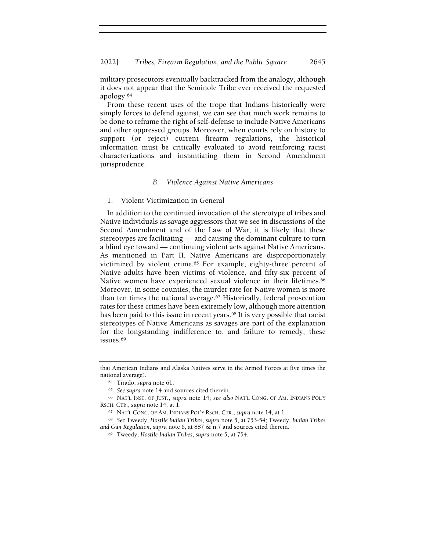military prosecutors eventually backtracked from the analogy, although it does not appear that the Seminole Tribe ever received the requested apology.<sup>64</sup>

From these recent uses of the trope that Indians historically were simply forces to defend against, we can see that much work remains to be done to reframe the right of self-defense to include Native Americans and other oppressed groups. Moreover, when courts rely on history to support (or reject) current firearm regulations, the historical information must be critically evaluated to avoid reinforcing racist characterizations and instantiating them in Second Amendment jurisprudence.

#### B. Violence Against Native Americans

### 1. Violent Victimization in General

In addition to the continued invocation of the stereotype of tribes and Native individuals as savage aggressors that we see in discussions of the Second Amendment and of the Law of War, it is likely that these stereotypes are facilitating — and causing the dominant culture to turn a blind eye toward — continuing violent acts against Native Americans. As mentioned in Part II, Native Americans are disproportionately victimized by violent crime.65 For example, eighty-three percent of Native adults have been victims of violence, and fifty-six percent of Native women have experienced sexual violence in their lifetimes.<sup>66</sup> Moreover, in some counties, the murder rate for Native women is more than ten times the national average.67 Historically, federal prosecution rates for these crimes have been extremely low, although more attention has been paid to this issue in recent years.<sup>68</sup> It is very possible that racist stereotypes of Native Americans as savages are part of the explanation for the longstanding indifference to, and failure to remedy, these issues.<sup>69</sup>

that American Indians and Alaska Natives serve in the Armed Forces at five times the national average).

<sup>64</sup> Tirado, supra note 61.

<sup>65</sup> See supra note 14 and sources cited therein.

<sup>66</sup> NAT'L INST. OF JUST., supra note 14; see also NAT'L CONG. OF AM. INDIANS POL'<sup>Y</sup> RSCH. CTR., supra note 14, at 1.

<sup>67</sup> NAT'L CONG. OF AM. INDIANS POL'Y RSCH. CTR., supra note 14, at 1.

<sup>68</sup> See Tweedy, Hostile Indian Tribes, supra note 5, at 753-54; Tweedy, Indian Tribes and Gun Regulation, supra note 6, at 887 & n.7 and sources cited therein.

<sup>69</sup> Tweedy, Hostile Indian Tribes, supra note 5, at 754.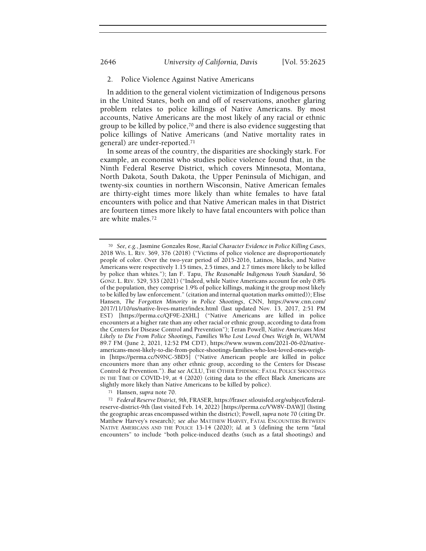#### 2. Police Violence Against Native Americans

In addition to the general violent victimization of Indigenous persons in the United States, both on and off of reservations, another glaring problem relates to police killings of Native Americans. By most accounts, Native Americans are the most likely of any racial or ethnic group to be killed by police,<sup>70</sup> and there is also evidence suggesting that police killings of Native Americans (and Native mortality rates in general) are under-reported.<sup>71</sup>

In some areas of the country, the disparities are shockingly stark. For example, an economist who studies police violence found that, in the Ninth Federal Reserve District, which covers Minnesota, Montana, North Dakota, South Dakota, the Upper Peninsula of Michigan, and twenty-six counties in northern Wisconsin, Native American females are thirty-eight times more likely than white females to have fatal encounters with police and that Native American males in that District are fourteen times more likely to have fatal encounters with police than are white males.<sup>72</sup>

<sup>71</sup> Hansen, supra note 70.

<sup>70</sup> See, e.g., Jasmine Gonzales Rose, Racial Character Evidence in Police Killing Cases, 2018 WIS. L. REV. 369, 376 (2018) ("Victims of police violence are disproportionately people of color. Over the two-year period of 2015-2016, Latinos, blacks, and Native Americans were respectively 1.15 times, 2.5 times, and 2.7 times more likely to be killed by police than whites."); Ian F. Tapu, The Reasonable Indigenous Youth Standard, 56 GONZ. L. REV. 529, 533 (2021) ("Indeed, while Native Americans account for only 0.8% of the population, they comprise 1.9% of police killings, making it the group most likely to be killed by law enforcement." (citation and internal quotation marks omitted)); Elise Hansen, The Forgotten Minority in Police Shootings, CNN, https://www.cnn.com/ 2017/11/10/us/native-lives-matter/index.html (last updated Nov. 13, 2017, 2:51 PM EST) [https://perma.cc/QF9E-2XHL] ("Native Americans are killed in police encounters at a higher rate than any other racial or ethnic group, according to data from the Centers for Disease Control and Prevention"); Teran Powell, Native Americans Most Likely to Die From Police Shootings, Families Who Lost Loved Ones Weigh In, WUWM 89.7 FM (June 2, 2021, 12:52 PM CDT), https://www.wuwm.com/2021-06-02/nativeamericans-most-likely-to-die-from-police-shootings-families-who-lost-loved-ones-weighin [https://perma.cc/N9NC-5BD5] ("Native American people are killed in police encounters more than any other ethnic group, according to the Centers for Disease Control & Prevention."). But see ACLU, THE OTHER EPIDEMIC: FATAL POLICE SHOOTINGS IN THE TIME OF COVID-19, at 4 (2020) (citing data to the effect Black Americans are slightly more likely than Native Americans to be killed by police).

<sup>72</sup> Federal Reserve District, 9th, FRASER, https://fraser.stlouisfed.org/subject/federalreserve-district-9th (last visited Feb. 14, 2022) [https://perma.cc/VW8V-DAWJ] (listing the geographic areas encompassed within the district); Powell, supra note 70 (citing Dr. Matthew Harvey's research); see also MATTHEW HARVEY, FATAL ENCOUNTERS BETWEEN NATIVE AMERICANS AND THE POLICE 13-14 (2020); id. at 3 (defining the term "fatal encounters" to include "both police-induced deaths (such as a fatal shootings) and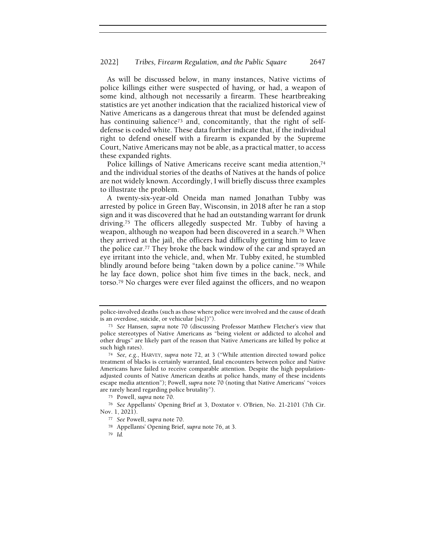As will be discussed below, in many instances, Native victims of police killings either were suspected of having, or had, a weapon of some kind, although not necessarily a firearm. These heartbreaking statistics are yet another indication that the racialized historical view of Native Americans as a dangerous threat that must be defended against has continuing salience<sup>73</sup> and, concomitantly, that the right of selfdefense is coded white. These data further indicate that, if the individual right to defend oneself with a firearm is expanded by the Supreme Court, Native Americans may not be able, as a practical matter, to access these expanded rights.

Police killings of Native Americans receive scant media attention,<sup>74</sup> and the individual stories of the deaths of Natives at the hands of police are not widely known. Accordingly, I will briefly discuss three examples to illustrate the problem.

A twenty-six-year-old Oneida man named Jonathan Tubby was arrested by police in Green Bay, Wisconsin, in 2018 after he ran a stop sign and it was discovered that he had an outstanding warrant for drunk driving.75 The officers allegedly suspected Mr. Tubby of having a weapon, although no weapon had been discovered in a search.<sup>76</sup> When they arrived at the jail, the officers had difficulty getting him to leave the police car.77 They broke the back window of the car and sprayed an eye irritant into the vehicle, and, when Mr. Tubby exited, he stumbled blindly around before being "taken down by a police canine."78 While he lay face down, police shot him five times in the back, neck, and torso.79 No charges were ever filed against the officers, and no weapon

police-involved deaths (such as those where police were involved and the cause of death is an overdose, suicide, or vehicular [sic])").

<sup>73</sup> See Hansen, supra note 70 (discussing Professor Matthew Fletcher's view that police stereotypes of Native Americans as "being violent or addicted to alcohol and other drugs" are likely part of the reason that Native Americans are killed by police at such high rates).

<sup>74</sup> See, e.g., HARVEY, supra note 72, at 3 ("While attention directed toward police treatment of blacks is certainly warranted, fatal encounters between police and Native Americans have failed to receive comparable attention. Despite the high populationadjusted counts of Native American deaths at police hands, many of these incidents escape media attention"); Powell, supra note 70 (noting that Native Americans' "voices are rarely heard regarding police brutality").

<sup>75</sup> Powell, supra note 70.

<sup>76</sup> See Appellants' Opening Brief at 3, Doxtator v. O'Brien, No. 21-2101 (7th Cir. Nov. 1, 2021).

<sup>77</sup> See Powell, supra note 70.

<sup>78</sup> Appellants' Opening Brief, supra note 76, at 3.

<sup>79</sup> Id.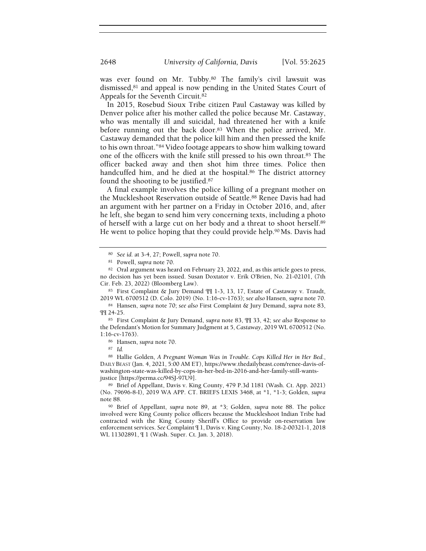was ever found on Mr. Tubby.80 The family's civil lawsuit was dismissed,<sup>81</sup> and appeal is now pending in the United States Court of Appeals for the Seventh Circuit.<sup>82</sup>

In 2015, Rosebud Sioux Tribe citizen Paul Castaway was killed by Denver police after his mother called the police because Mr. Castaway, who was mentally ill and suicidal, had threatened her with a knife before running out the back door.<sup>83</sup> When the police arrived, Mr. Castaway demanded that the police kill him and then pressed the knife to his own throat."84 Video footage appears to show him walking toward one of the officers with the knife still pressed to his own throat.85 The officer backed away and then shot him three times. Police then handcuffed him, and he died at the hospital.<sup>86</sup> The district attorney found the shooting to be justified.<sup>87</sup>

A final example involves the police killing of a pregnant mother on the Muckleshoot Reservation outside of Seattle.<sup>88</sup> Renee Davis had had an argument with her partner on a Friday in October 2016, and, after he left, she began to send him very concerning texts, including a photo of herself with a large cut on her body and a threat to shoot herself.<sup>89</sup> He went to police hoping that they could provide help.<sup>90</sup> Ms. Davis had

<sup>83</sup> First Complaint & Jury Demand ¶¶ 1-3, 13, 17, Estate of Castaway v. Traudt, 2019 WL 6700512 (D. Colo. 2019) (No. 1:16-cv-1763); see also Hansen, supra note 70.

84 Hansen, supra note 70; see also First Complaint & Jury Demand, supra note 83, ¶¶ 24-25.

85 First Complaint & Jury Demand, supra note 83, III 33, 42; see also Response to the Defendant's Motion for Summary Judgment at 5, Castaway, 2019 WL 6700512 (No. 1:16-cv-1763).

<sup>86</sup> Hansen, supra note 70.

<sup>87</sup> Id.

88 Hallie Golden, A Pregnant Woman Was in Trouble. Cops Killed Her in Her Bed., DAILY BEAST (Jan. 4, 2021, 5:00 AM ET), https://www.thedailybeast.com/renee-davis-ofwashington-state-was-killed-by-cops-in-her-bed-in-2016-and-her-family-still-wantsjustice [https://perma.cc/94SJ-97U9].

<sup>89</sup> Brief of Appellant, Davis v. King County, 479 P.3d 1181 (Wash. Ct. App. 2021) (No. 79696-8-I), 2019 WA APP. CT. BRIEFS LEXIS 3468, at \*1, \*1-3; Golden, supra note 88.

90 Brief of Appellant, supra note 89, at \*3; Golden, supra note 88. The police involved were King County police officers because the Muckleshoot Indian Tribe had contracted with the King County Sheriff's Office to provide on-reservation law enforcement services. See Complaint ¶ 1, Davis v. King County, No. 18-2-00321-1, 2018 WL 11302891, ¶ 1 (Wash. Super. Ct. Jan. 3, 2018).

<sup>80</sup> See id. at 3-4, 27; Powell, supra note 70.

<sup>81</sup> Powell, supra note 70.

<sup>82</sup> Oral argument was heard on February 23, 2022, and, as this article goes to press, no decision has yet been issued. Susan Doxtator v. Erik O'Brien, No. 21-02101, (7th Cir. Feb. 23, 2022) (Bloomberg Law).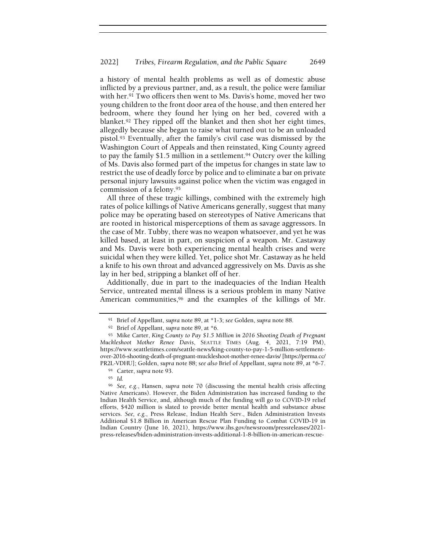a history of mental health problems as well as of domestic abuse inflicted by a previous partner, and, as a result, the police were familiar with her.<sup>91</sup> Two officers then went to Ms. Davis's home, moved her two young children to the front door area of the house, and then entered her bedroom, where they found her lying on her bed, covered with a blanket.92 They ripped off the blanket and then shot her eight times, allegedly because she began to raise what turned out to be an unloaded pistol.93 Eventually, after the family's civil case was dismissed by the Washington Court of Appeals and then reinstated, King County agreed to pay the family \$1.5 million in a settlement.<sup>94</sup> Outcry over the killing of Ms. Davis also formed part of the impetus for changes in state law to restrict the use of deadly force by police and to eliminate a bar on private personal injury lawsuits against police when the victim was engaged in commission of a felony.<sup>95</sup>

All three of these tragic killings, combined with the extremely high rates of police killings of Native Americans generally, suggest that many police may be operating based on stereotypes of Native Americans that are rooted in historical misperceptions of them as savage aggressors. In the case of Mr. Tubby, there was no weapon whatsoever, and yet he was killed based, at least in part, on suspicion of a weapon. Mr. Castaway and Ms. Davis were both experiencing mental health crises and were suicidal when they were killed. Yet, police shot Mr. Castaway as he held a knife to his own throat and advanced aggressively on Ms. Davis as she lay in her bed, stripping a blanket off of her.

Additionally, due in part to the inadequacies of the Indian Health Service, untreated mental illness is a serious problem in many Native American communities,<sup>96</sup> and the examples of the killings of Mr.

<sup>91</sup> Brief of Appellant, supra note 89, at \*1-3; see Golden, supra note 88.

<sup>92</sup> Brief of Appellant, supra note 89, at \*6.

<sup>93</sup> Mike Carter, King County to Pay \$1.5 Million in 2016 Shooting Death of Pregnant Muckleshoot Mother Renee Davis, SEATTLE TIMES (Aug. 4, 2021, 7:19 PM), https://www.seattletimes.com/seattle-news/king-county-to-pay-1-5-million-settlementover-2016-shooting-death-of-pregnant-muckleshoot-mother-renee-davis/ [https://perma.cc/ PR2L-VDHU]; Golden, supra note 88; see also Brief of Appellant, supra note 89, at \*6-7.

<sup>94</sup> Carter, supra note 93.

<sup>95</sup> Id.

<sup>96</sup> See, e.g., Hansen, supra note 70 (discussing the mental health crisis affecting Native Americans). However, the Biden Administration has increased funding to the Indian Health Service, and, although much of the funding will go to COVID-19 relief efforts, \$420 million is slated to provide better mental health and substance abuse services. See, e.g., Press Release, Indian Health Serv., Biden Administration Invests Additional \$1.8 Billion in American Rescue Plan Funding to Combat COVID-19 in Indian Country (June 16, 2021), https://www.ihs.gov/newsroom/pressreleases/2021 press-releases/biden-administration-invests-additional-1-8-billion-in-american-rescue-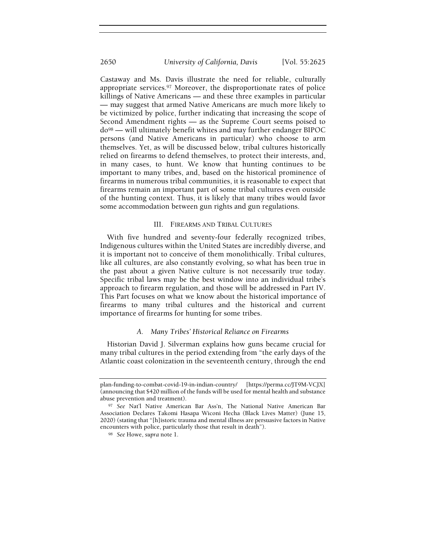Castaway and Ms. Davis illustrate the need for reliable, culturally appropriate services.97 Moreover, the disproportionate rates of police killings of Native Americans — and these three examples in particular — may suggest that armed Native Americans are much more likely to be victimized by police, further indicating that increasing the scope of Second Amendment rights — as the Supreme Court seems poised to do98 — will ultimately benefit whites and may further endanger BIPOC persons (and Native Americans in particular) who choose to arm themselves. Yet, as will be discussed below, tribal cultures historically relied on firearms to defend themselves, to protect their interests, and, in many cases, to hunt. We know that hunting continues to be important to many tribes, and, based on the historical prominence of firearms in numerous tribal communities, it is reasonable to expect that firearms remain an important part of some tribal cultures even outside of the hunting context. Thus, it is likely that many tribes would favor some accommodation between gun rights and gun regulations.

#### III. FIREARMS AND TRIBAL CULTURES

With five hundred and seventy-four federally recognized tribes, Indigenous cultures within the United States are incredibly diverse, and it is important not to conceive of them monolithically. Tribal cultures, like all cultures, are also constantly evolving, so what has been true in the past about a given Native culture is not necessarily true today. Specific tribal laws may be the best window into an individual tribe's approach to firearm regulation, and those will be addressed in Part IV. This Part focuses on what we know about the historical importance of firearms to many tribal cultures and the historical and current importance of firearms for hunting for some tribes.

## A. Many Tribes' Historical Reliance on Firearms

Historian David J. Silverman explains how guns became crucial for many tribal cultures in the period extending from "the early days of the Atlantic coast colonization in the seventeenth century, through the end

plan-funding-to-combat-covid-19-in-indian-country/ [https://perma.cc/JT9M-VCJX] (announcing that \$420 million of the funds will be used for mental health and substance abuse prevention and treatment).

<sup>97</sup> See Nat'l Native American Bar Ass'n, The National Native American Bar Association Declares Takomi Hasapa Wiconi Hecha (Black Lives Matter) (June 15, 2020) (stating that "[h]istoric trauma and mental illness are persuasive factors in Native encounters with police, particularly those that result in death").

<sup>98</sup> See Howe, supra note 1.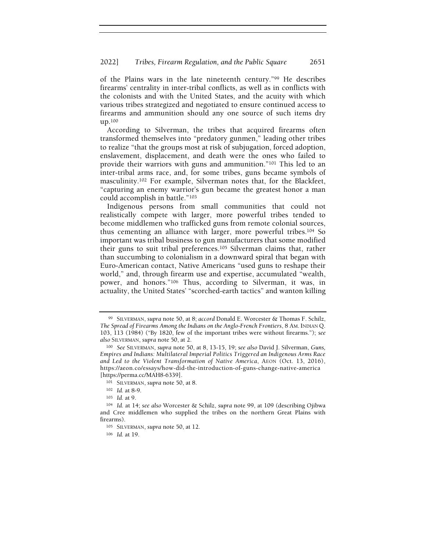of the Plains wars in the late nineteenth century."99 He describes firearms' centrality in inter-tribal conflicts, as well as in conflicts with the colonists and with the United States, and the acuity with which various tribes strategized and negotiated to ensure continued access to firearms and ammunition should any one source of such items dry up.<sup>100</sup>

According to Silverman, the tribes that acquired firearms often transformed themselves into "predatory gunmen," leading other tribes to realize "that the groups most at risk of subjugation, forced adoption, enslavement, displacement, and death were the ones who failed to provide their warriors with guns and ammunition."101 This led to an inter-tribal arms race, and, for some tribes, guns became symbols of masculinity.102 For example, Silverman notes that, for the Blackfeet, "capturing an enemy warrior's gun became the greatest honor a man could accomplish in battle."<sup>103</sup>

Indigenous persons from small communities that could not realistically compete with larger, more powerful tribes tended to become middlemen who trafficked guns from remote colonial sources, thus cementing an alliance with larger, more powerful tribes.104 So important was tribal business to gun manufacturers that some modified their guns to suit tribal preferences.105 Silverman claims that, rather than succumbing to colonialism in a downward spiral that began with Euro-American contact, Native Americans "used guns to reshape their world," and, through firearm use and expertise, accumulated "wealth, power, and honors."106 Thus, according to Silverman, it was, in actuality, the United States' "scorched-earth tactics" and wanton killing

<sup>99</sup> SILVERMAN, supra note 50, at 8; accord Donald E. Worcester & Thomas F. Schilz, The Spread of Firearms Among the Indians on the Anglo-French Frontiers, 8 AM. INDIAN Q. 103, 113 (1984) ("By 1820, few of the important tribes were without firearms."); see also SILVERMAN, supra note 50, at 2.

<sup>100</sup> See SILVERMAN, supra note 50, at 8, 13-15, 19; see also David J. Silverman, Guns, Empires and Indians: Multilateral Imperial Politics Triggered an Indigenous Arms Race and Led to the Violent Transformation of Native America, AEON (Oct. 13, 2016), https://aeon.co/essays/how-did-the-introduction-of-guns-change-native-america [https://perma.cc/MAH8-6339].

<sup>101</sup> SILVERMAN, supra note 50, at 8.

<sup>102</sup> Id. at 8-9.

<sup>103</sup> Id. at 9.

<sup>104</sup> Id. at 14; see also Worcester & Schilz, supra note 99, at 109 (describing Ojibwa and Cree middlemen who supplied the tribes on the northern Great Plains with firearms).

<sup>105</sup> SILVERMAN, supra note 50, at 12.

<sup>106</sup> Id. at 19.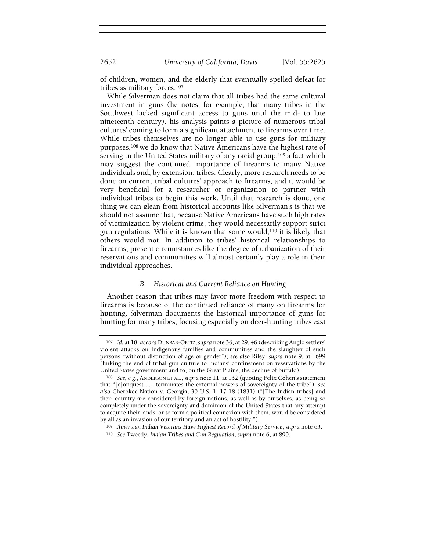of children, women, and the elderly that eventually spelled defeat for tribes as military forces.<sup>107</sup>

While Silverman does not claim that all tribes had the same cultural investment in guns (he notes, for example, that many tribes in the Southwest lacked significant access to guns until the mid- to late nineteenth century), his analysis paints a picture of numerous tribal cultures' coming to form a significant attachment to firearms over time. While tribes themselves are no longer able to use guns for military purposes,<sup>108</sup> we do know that Native Americans have the highest rate of serving in the United States military of any racial group,<sup>109</sup> a fact which may suggest the continued importance of firearms to many Native individuals and, by extension, tribes. Clearly, more research needs to be done on current tribal cultures' approach to firearms, and it would be very beneficial for a researcher or organization to partner with individual tribes to begin this work. Until that research is done, one thing we can glean from historical accounts like Silverman's is that we should not assume that, because Native Americans have such high rates of victimization by violent crime, they would necessarily support strict gun regulations. While it is known that some would,110 it is likely that others would not. In addition to tribes' historical relationships to firearms, present circumstances like the degree of urbanization of their reservations and communities will almost certainly play a role in their individual approaches.

### B. Historical and Current Reliance on Hunting

Another reason that tribes may favor more freedom with respect to firearms is because of the continued reliance of many on firearms for hunting. Silverman documents the historical importance of guns for hunting for many tribes, focusing especially on deer-hunting tribes east

<sup>107</sup> Id. at 18; accord DUNBAR-ORTIZ, supra note 36, at 29, 46 (describing Anglo settlers' violent attacks on Indigenous families and communities and the slaughter of such persons "without distinction of age or gender"); see also Riley, supra note 9, at 1699 (linking the end of tribal gun culture to Indians' confinement on reservations by the United States government and to, on the Great Plains, the decline of buffalo).

<sup>108</sup> See, e.g., ANDERSON ET AL., supra note 11, at 132 (quoting Felix Cohen's statement that "[c]onquest . . . terminates the external powers of sovereignty of the tribe"); see also Cherokee Nation v. Georgia, 30 U.S. 1, 17-18 (1831) ("[The Indian tribes] and their country are considered by foreign nations, as well as by ourselves, as being so completely under the sovereignty and dominion of the United States that any attempt to acquire their lands, or to form a political connexion with them, would be considered by all as an invasion of our territory and an act of hostility.").

<sup>109</sup> American Indian Veterans Have Highest Record of Military Service, supra note 63.

<sup>110</sup> See Tweedy, Indian Tribes and Gun Regulation, supra note 6, at 890.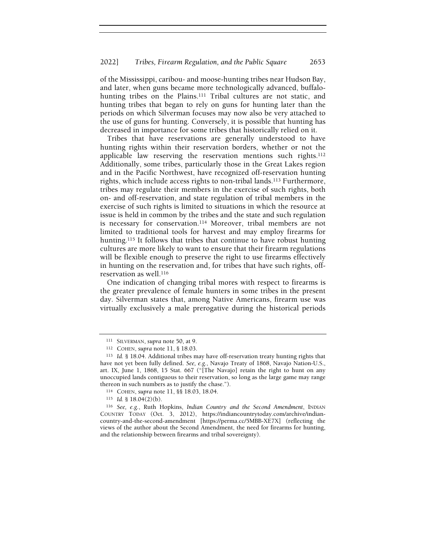of the Mississippi, caribou- and moose-hunting tribes near Hudson Bay, and later, when guns became more technologically advanced, buffalohunting tribes on the Plains.<sup>111</sup> Tribal cultures are not static, and hunting tribes that began to rely on guns for hunting later than the periods on which Silverman focuses may now also be very attached to the use of guns for hunting. Conversely, it is possible that hunting has decreased in importance for some tribes that historically relied on it.

Tribes that have reservations are generally understood to have hunting rights within their reservation borders, whether or not the applicable law reserving the reservation mentions such rights.<sup>112</sup> Additionally, some tribes, particularly those in the Great Lakes region and in the Pacific Northwest, have recognized off-reservation hunting rights, which include access rights to non-tribal lands.113 Furthermore, tribes may regulate their members in the exercise of such rights, both on- and off-reservation, and state regulation of tribal members in the exercise of such rights is limited to situations in which the resource at issue is held in common by the tribes and the state and such regulation is necessary for conservation.114 Moreover, tribal members are not limited to traditional tools for harvest and may employ firearms for hunting.<sup>115</sup> It follows that tribes that continue to have robust hunting cultures are more likely to want to ensure that their firearm regulations will be flexible enough to preserve the right to use firearms effectively in hunting on the reservation and, for tribes that have such rights, offreservation as well.<sup>116</sup>

One indication of changing tribal mores with respect to firearms is the greater prevalence of female hunters in some tribes in the present day. Silverman states that, among Native Americans, firearm use was virtually exclusively a male prerogative during the historical periods

<sup>111</sup> SILVERMAN, supra note 50, at 9.

<sup>112</sup> COHEN, supra note 11, § 18.03.

<sup>113</sup> Id. § 18.04. Additional tribes may have off-reservation treaty hunting rights that have not yet been fully defined. See, e.g., Navajo Treaty of 1868, Navajo Nation-U.S., art. IX, June 1, 1868, 15 Stat. 667 ("[The Navajo] retain the right to hunt on any unoccupied lands contiguous to their reservation, so long as the large game may range thereon in such numbers as to justify the chase.").

<sup>114</sup> COHEN, supra note 11, §§ 18.03, 18.04.

<sup>115</sup> Id. § 18.04(2)(b).

<sup>116</sup> See, e.g., Ruth Hopkins, Indian Country and the Second Amendment, INDIAN COUNTRY TODAY (Oct. 3, 2012), https://indiancountrytoday.com/archive/indiancountry-and-the-second-amendment [https://perma.cc/5MBB-XE7X] (reflecting the views of the author about the Second Amendment, the need for firearms for hunting, and the relationship between firearms and tribal sovereignty).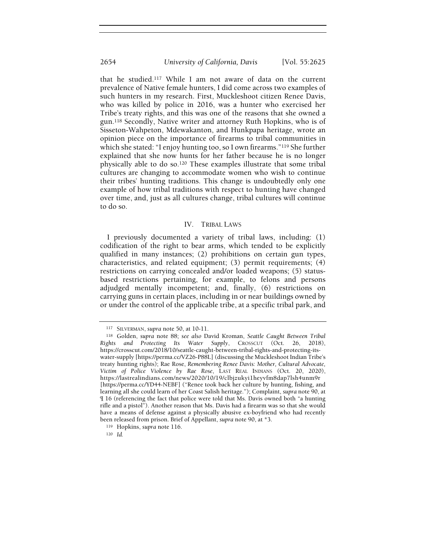that he studied.117 While I am not aware of data on the current prevalence of Native female hunters, I did come across two examples of such hunters in my research. First, Muckleshoot citizen Renee Davis, who was killed by police in 2016, was a hunter who exercised her Tribe's treaty rights, and this was one of the reasons that she owned a gun.118 Secondly, Native writer and attorney Ruth Hopkins, who is of Sisseton-Wahpeton, Mdewakanton, and Hunkpapa heritage, wrote an opinion piece on the importance of firearms to tribal communities in which she stated: "I enjoy hunting too, so I own firearms."119 She further explained that she now hunts for her father because he is no longer physically able to do so.120 These examples illustrate that some tribal cultures are changing to accommodate women who wish to continue their tribes' hunting traditions. This change is undoubtedly only one example of how tribal traditions with respect to hunting have changed over time, and, just as all cultures change, tribal cultures will continue to do so.

#### IV. TRIBAL LAWS

I previously documented a variety of tribal laws, including: (1) codification of the right to bear arms, which tended to be explicitly qualified in many instances; (2) prohibitions on certain gun types, characteristics, and related equipment; (3) permit requirements; (4) restrictions on carrying concealed and/or loaded weapons; (5) statusbased restrictions pertaining, for example, to felons and persons adjudged mentally incompetent; and, finally, (6) restrictions on carrying guns in certain places, including in or near buildings owned by or under the control of the applicable tribe, at a specific tribal park, and

<sup>117</sup> SILVERMAN, supra note 50, at 10-11.

<sup>118</sup> Golden, supra note 88; see also David Kroman, Seattle Caught Between Tribal Rights and Protecting Its Water Supply, CROSSCUT (Oct. 26, 2018), https://crosscut.com/2018/10/seattle-caught-between-tribal-rights-and-protecting-itswater-supply [https://perma.cc/VZ26-P88L] (discussing the Muckleshoot Indian Tribe's treaty hunting rights); Rae Rose, Remembering Renee Davis: Mother, Cultural Advocate, Victim of Police Violence by Rae Rose, LAST REAL INDIANS (Oct. 20, 2020), https://lastrealindians.com/news/2020/10/19/clbjzukyi1heyvfm8dap7lsh4unm9r [https://perma.cc/YD44-NEBF] ("Renee took back her culture by hunting, fishing, and learning all she could learn of her Coast Salish heritage."); Complaint, supra note 90, at ¶ 16 (referencing the fact that police were told that Ms. Davis owned both "a hunting rifle and a pistol"). Another reason that Ms. Davis had a firearm was so that she would have a means of defense against a physically abusive ex-boyfriend who had recently been released from prison. Brief of Appellant, supra note 90, at \*3.

<sup>119</sup> Hopkins, supra note 116.

<sup>120</sup>  $Id$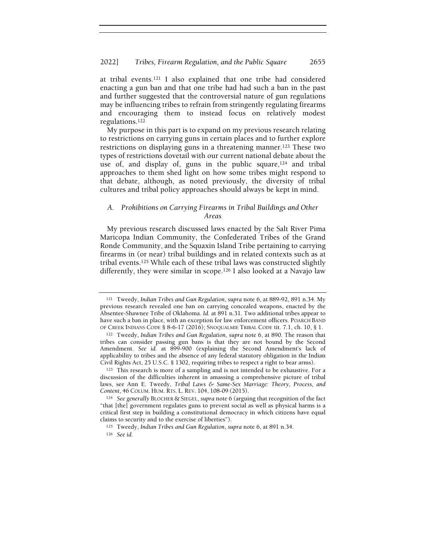at tribal events.121 I also explained that one tribe had considered enacting a gun ban and that one tribe had had such a ban in the past and further suggested that the controversial nature of gun regulations may be influencing tribes to refrain from stringently regulating firearms and encouraging them to instead focus on relatively modest regulations.<sup>122</sup>

My purpose in this part is to expand on my previous research relating to restrictions on carrying guns in certain places and to further explore restrictions on displaying guns in a threatening manner.123 These two types of restrictions dovetail with our current national debate about the use of, and display of, guns in the public square,<sup>124</sup> and tribal approaches to them shed light on how some tribes might respond to that debate, although, as noted previously, the diversity of tribal cultures and tribal policy approaches should always be kept in mind.

## A. Prohibitions on Carrying Firearms in Tribal Buildings and Other Areas

My previous research discussed laws enacted by the Salt River Pima Maricopa Indian Community, the Confederated Tribes of the Grand Ronde Community, and the Squaxin Island Tribe pertaining to carrying firearms in (or near) tribal buildings and in related contexts such as at tribal events.125 While each of these tribal laws was constructed slightly differently, they were similar in scope.126 I also looked at a Navajo law

<sup>121</sup> Tweedy, Indian Tribes and Gun Regulation, supra note 6, at 889-92, 891 n.34. My previous research revealed one ban on carrying concealed weapons, enacted by the Absentee-Shawnee Tribe of Oklahoma. Id. at 891 n.31. Two additional tribes appear to have such a ban in place, with an exception for law enforcement officers. POARCH BAND OF CREEK INDIANS CODE § 8-6-17 (2016); SNOQUALMIE TRIBAL CODE tit. 7.1, ch. 10, § 1.

<sup>122</sup> Tweedy, Indian Tribes and Gun Regulation, supra note 6, at 890. The reason that tribes can consider passing gun bans is that they are not bound by the Second Amendment. See id. at 899-900 (explaining the Second Amendment's lack of applicability to tribes and the absence of any federal statutory obligation in the Indian Civil Rights Act, 25 U.S.C. § 1302, requiring tribes to respect a right to bear arms).

<sup>123</sup> This research is more of a sampling and is not intended to be exhaustive. For a discussion of the difficulties inherent in amassing a comprehensive picture of tribal laws, see Ann E. Tweedy, Tribal Laws & Same-Sex Marriage: Theory, Process, and Content, 46 COLUM. HUM. RTS. L. REV. 104, 108-09 (2015).

<sup>124</sup> See generally BLOCHER & SIEGEL, supra note 6 (arguing that recognition of the fact "that [the] government regulates guns to prevent social as well as physical harms is a critical first step in building a constitutional democracy in which citizens have equal claims to security and to the exercise of liberties").

<sup>125</sup> Tweedy, Indian Tribes and Gun Regulation, supra note 6, at 891 n.34.

<sup>126</sup> See id.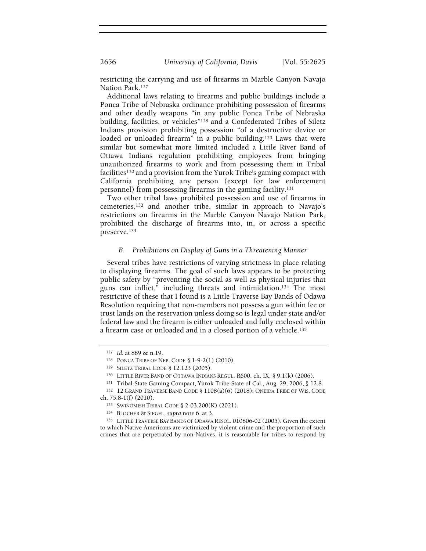restricting the carrying and use of firearms in Marble Canyon Navajo Nation Park.<sup>127</sup>

Additional laws relating to firearms and public buildings include a Ponca Tribe of Nebraska ordinance prohibiting possession of firearms and other deadly weapons "in any public Ponca Tribe of Nebraska building, facilities, or vehicles"128 and a Confederated Tribes of Siletz Indians provision prohibiting possession "of a destructive device or loaded or unloaded firearm" in a public building.<sup>129</sup> Laws that were similar but somewhat more limited included a Little River Band of Ottawa Indians regulation prohibiting employees from bringing unauthorized firearms to work and from possessing them in Tribal facilities130 and a provision from the Yurok Tribe's gaming compact with California prohibiting any person (except for law enforcement personnel) from possessing firearms in the gaming facility.<sup>131</sup>

Two other tribal laws prohibited possession and use of firearms in cemeteries,132 and another tribe, similar in approach to Navajo's restrictions on firearms in the Marble Canyon Navajo Nation Park, prohibited the discharge of firearms into, in, or across a specific preserve.<sup>133</sup>

## B. Prohibitions on Display of Guns in a Threatening Manner

Several tribes have restrictions of varying strictness in place relating to displaying firearms. The goal of such laws appears to be protecting public safety by "preventing the social as well as physical injuries that guns can inflict," including threats and intimidation.134 The most restrictive of these that I found is a Little Traverse Bay Bands of Odawa Resolution requiring that non-members not possess a gun within fee or trust lands on the reservation unless doing so is legal under state and/or federal law and the firearm is either unloaded and fully enclosed within a firearm case or unloaded and in a closed portion of a vehicle.<sup>135</sup>

<sup>127</sup> Id. at 889 & n.19.

<sup>128</sup> PONCA TRIBE OF NEB. CODE § 1-9-2(1) (2010).

<sup>129</sup> SILETZ TRIBAL CODE § 12.123 (2005).

<sup>130</sup> LITTLE RIVER BAND OF OTTAWA INDIANS REGUL. R600, ch. IX, § 9.1(k) (2006).

<sup>131</sup> Tribal-State Gaming Compact, Yurok Tribe-State of Cal., Aug. 29, 2006, § 12.8.

<sup>132</sup> 12 GRAND TRAVERSE BAND CODE § 1108(a)(6) (2018); ONEIDA TRIBE OF WIS. CODE ch. 75.8-1(f) (2010).

<sup>133</sup> SWINOMISH TRIBAL CODE § 2-03.200(K) (2021).

<sup>134</sup> BLOCHER & SIEGEL, supra note 6, at 3.

<sup>135</sup> LITTLE TRAVERSE BAY BANDS OF ODAWA RESOL. 010806-02 (2005). Given the extent to which Native Americans are victimized by violent crime and the proportion of such crimes that are perpetrated by non-Natives, it is reasonable for tribes to respond by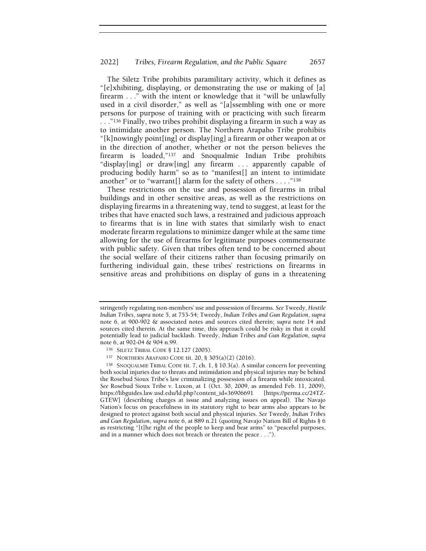The Siletz Tribe prohibits paramilitary activity, which it defines as "[e]xhibiting, displaying, or demonstrating the use or making of [a] firearm . . ." with the intent or knowledge that it "will be unlawfully used in a civil disorder," as well as "[a]ssembling with one or more persons for purpose of training with or practicing with such firearm . . ."136 Finally, two tribes prohibit displaying a firearm in such a way as to intimidate another person. The Northern Arapaho Tribe prohibits "[k]nowingly point[ing] or display[ing] a firearm or other weapon at or in the direction of another, whether or not the person believes the firearm is loaded,"137 and Snoqualmie Indian Tribe prohibits "display[ing] or draw[ing] any firearm . . . apparently capable of producing bodily harm" so as to "manifest[] an intent to intimidate another" or to "warrant[] alarm for the safety of others  $\dots$ ."<sup>138</sup>

These restrictions on the use and possession of firearms in tribal buildings and in other sensitive areas, as well as the restrictions on displaying firearms in a threatening way, tend to suggest, at least for the tribes that have enacted such laws, a restrained and judicious approach to firearms that is in line with states that similarly wish to enact moderate firearm regulations to minimize danger while at the same time allowing for the use of firearms for legitimate purposes commensurate with public safety. Given that tribes often tend to be concerned about the social welfare of their citizens rather than focusing primarily on furthering individual gain, these tribes' restrictions on firearms in sensitive areas and prohibitions on display of guns in a threatening

stringently regulating non-members' use and possession of firearms. See Tweedy, Hostile Indian Tribes, supra note 5, at 753-54; Tweedy, Indian Tribes and Gun Regulation, supra note 6, at 900-902 & associated notes and sources cited therein; supra note 14 and sources cited therein. At the same time, this approach could be risky in that it could potentially lead to judicial backlash. Tweedy, Indian Tribes and Gun Regulation, supra note 6, at 902-04 & 904 n.99.

<sup>136</sup> SILETZ TRIBAL CODE § 12.127 (2005).

<sup>137</sup> NORTHERN ARAPAHO CODE tit. 20, § 305(a)(2) (2016).

<sup>138</sup> SNOQUALMIE TRIBAL CODE tit. 7, ch. 1, § 10.3(a). A similar concern for preventing both social injuries due to threats and intimidation and physical injuries may be behind the Rosebud Sioux Tribe's law criminalizing possession of a firearm while intoxicated. See Rosebud Sioux Tribe v. Luxon, at 1 (Oct. 30, 2009, as amended Feb. 11, 2009), https://libguides.law.usd.edu/ld.php?content id=36906691 [https://perma.cc/24TZhttps://libguides.law.usd.edu/ld.php?content\_id=36906691 GTEW] (describing charges at issue and analyzing issues on appeal). The Navajo Nation's focus on peacefulness in its statutory right to bear arms also appears to be designed to protect against both social and physical injuries. See Tweedy, Indian Tribes and Gun Regulation, supra note 6, at 889 n.21 (quoting Navajo Nation Bill of Rights § 6 as restricting "[t]he right of the people to keep and bear arms" to "peaceful purposes, and in a manner which does not breach or threaten the peace . . .").